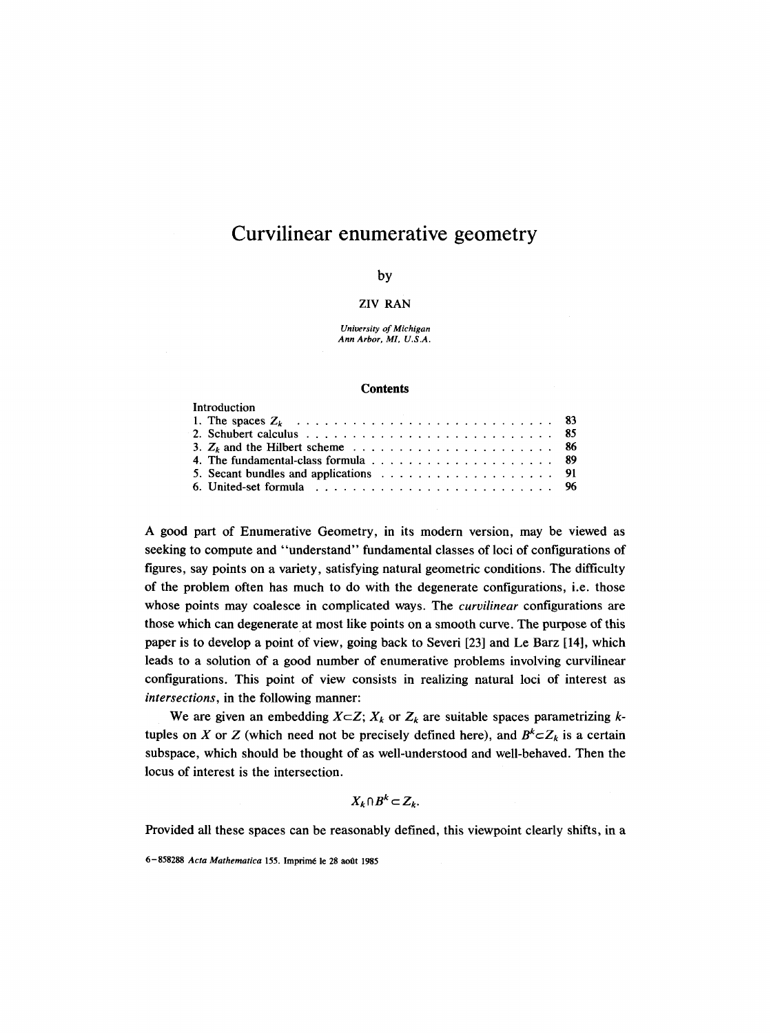# **Curvilinear enumerative geometry**

# by

# ZIV RAN

*University of Michigan Ann Arbor, MI, U.S.A.* 

#### **Contents**

| Introduction                                                                                                |  |  |  |  |  |  |  |  |  |
|-------------------------------------------------------------------------------------------------------------|--|--|--|--|--|--|--|--|--|
|                                                                                                             |  |  |  |  |  |  |  |  |  |
|                                                                                                             |  |  |  |  |  |  |  |  |  |
|                                                                                                             |  |  |  |  |  |  |  |  |  |
|                                                                                                             |  |  |  |  |  |  |  |  |  |
|                                                                                                             |  |  |  |  |  |  |  |  |  |
| 6. United-set formula $\ldots$ , $\ldots$ , $\ldots$ , $\ldots$ , $\ldots$ , $\ldots$ , $\ldots$ , $\ldots$ |  |  |  |  |  |  |  |  |  |

A good part of Enumerative Geometry, in its modern version, may be viewed as seeking to compute and "understand" fundamental classes of loci of configurations of figures, say points on a variety, satisfying natural geometric conditions. The difficulty of the problem often has much to do with the degenerate configurations, i.e. those whose points may coalesce in complicated ways. The *curvilinear* configurations are those which can degenerate at most like points on a smooth curve. The purpose of this paper is to develop a point of view, going back to Severi [23] and Le Barz [14], which leads to a solution of a good number of enumerative problems involving curvilinear configurations. This point of view consists in realizing natural loci of interest as *intersections,* in the following manner:

We are given an embedding  $X \subset Z$ ;  $X_k$  or  $Z_k$  are suitable spaces parametrizing ktuples on X or Z (which need not be precisely defined here), and  $B^k \subset Z_k$  is a certain subspace, which should be thought of as well-understood and well-behaved. Then the locus of interest is the intersection.

$$
X_k \cap B^k \subset Z_k.
$$

Provided all these spaces can be reasonably defined, this viewpoint clearly shifts, in a

6-858288 Acta Mathematica 155. Imprimé le 28 août 1985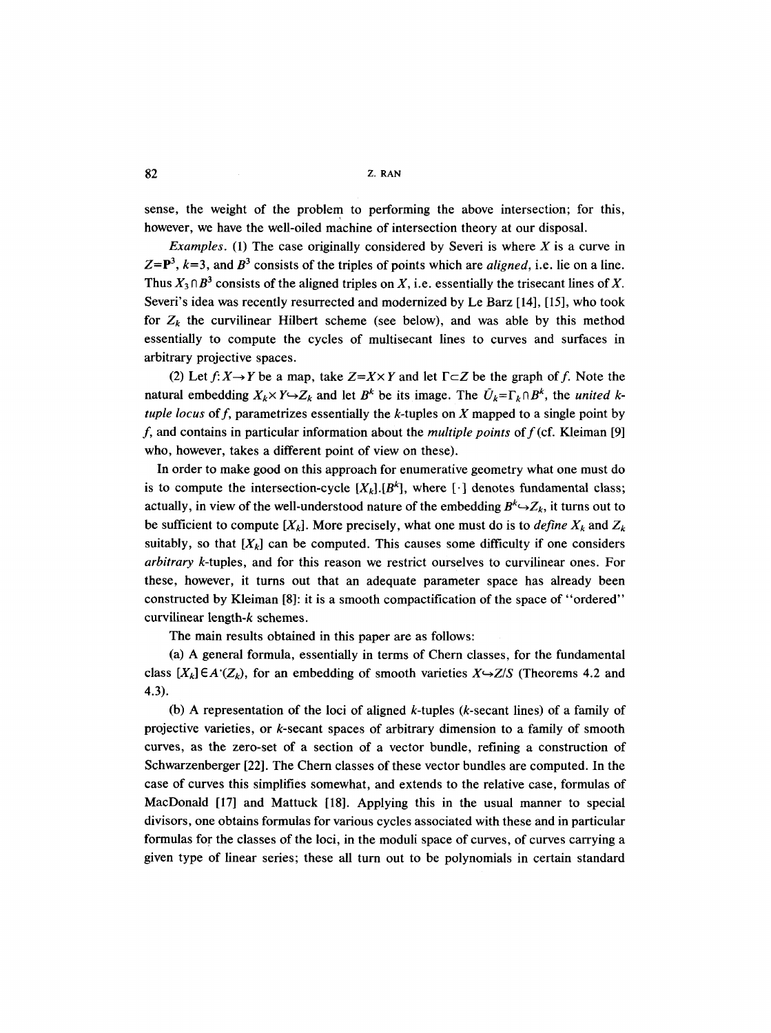$82$  z. RAN

sense, the weight of the problem to performing the above intersection; for this, however, we have the well-oiled machine of intersection theory at our disposal.

*Examples.* (1) The case originally considered by Severi is where  $X$  is a curve in  $Z = P<sup>3</sup>$ ,  $k=3$ , and  $B<sup>3</sup>$  consists of the triples of points which are *aligned*, i.e. lie on a line. Thus  $X_3 \cap B^3$  consists of the aligned triples on X, i.e. essentially the trisecant lines of X. Severi's idea was recently resurrected and modernized by Le Barz [14], [15], who took for  $Z_k$  the curvilinear Hilbert scheme (see below), and was able by this method essentially to compute the cycles of multisecant lines to curves and surfaces in arbitrary projective spaces.

(2) Let  $f: X \rightarrow Y$  be a map, take  $Z = X \times Y$  and let  $\Gamma \subset Z$  be the graph of f. Note the natural embedding  $X_k \times Y \hookrightarrow Z_k$  and let  $B^k$  be its image. The  $\tilde{U}_k = \Gamma_k \cap B^k$ , the *united ktuple locus* of f, parametrizes essentially the k-tuples on X mapped to a single point by f, and contains in particular information about the *multiple points* off(cf. Kleiman [9] who, however, takes a different point of view on these).

In order to make good on this approach for enumerative geometry what one must do is to compute the intersection-cycle  $[X_k]$ .[ $B^k$ ], where [i] denotes fundamental class; actually, in view of the well-understood nature of the embedding  $B^k \rightarrow Z_k$ , it turns out to be sufficient to compute  $[X_k]$ . More precisely, what one must do is to *define*  $X_k$  and  $Z_k$ suitably, so that  $[X_k]$  can be computed. This causes some difficulty if one considers *arbitrary* k-tuples, and for this reason we restrict ourselves to curvilinear ones. For these, however, it turns out that an adequate parameter space has already been constructed by Kleiman [8]: it is a smooth compactification of the space of "ordered" curvilinear length-k schemes.

The main results obtained in this paper are as follows:

(a) A general formula, essentially in terms of Chern classes, for the fundamental class  $[X_k] \in A'(Z_k)$ , for an embedding of smooth varieties  $X \rightarrow Z/S$  (Theorems 4.2 and 4.3).

(b) A representation of the loci of aligned k-tuples (k-secant lines) of a family of projective varieties, or k-secant spaces of arbitrary dimension to a family of smooth curves, as the zero-set of a section of a vector bundle, refining a construction of Schwarzenberger [22]. The Chern classes of these vector bundles are computed. In the case of curves this simplifies somewhat, and extends to the relative case, formulas of MacDonald [17] and Mattuck [18]. Applying this in the usual manner to special divisors, one obtains formulas for various cycles associated with these and in particular formulas for the classes of the loci, in the moduli space of curves, of curves carrying a given type of linear series; these all turn out to be polynomials in certain standard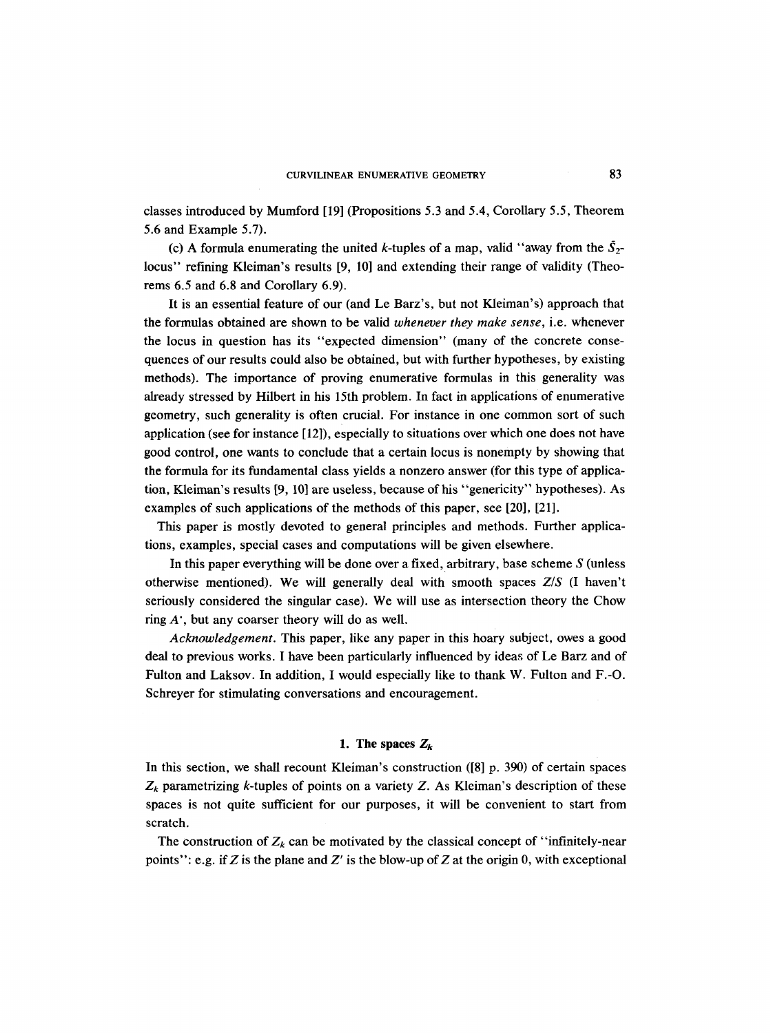classes introduced by Mumford [19] (Propositions 5.3 and 5.4, Corollary 5.5, Theorem 5.6 and Example 5.7).

(c) A formula enumerating the united k-tuples of a map, valid "away from the  $\bar{S}_{2}$ locus" refining Kleiman's results [9, 10] and extending their range of validity (Theorems 6.5 and 6.8 and Corollary 6.9).

It is an essential feature of our (and Le Barz's, but not Kleiman's) approach that the formulas obtained are shown to be valid *whenever they make sense,* i.e. whenever the locus in question has its "expected dimension" (many of the concrete consequences of our results could also be obtained, but with further hypotheses, by existing methods). The importance of proving enumerative formulas in this generality was already stressed by Hilbert in his 15th problem. In fact in applications of enumerative geometry, such generality is often crucial. For instance in one common sort of such application (see for instance [12]), especially to situations over which one does not have good control, one wants to conclude that a certain locus is nonempty by showing that the formula for its fundamental class yields a nonzero answer (for this type of application, Kleiman's results [9, 10] are useless, because of his "genericity" hypotheses). As examples of such applications of the methods of this paper, see [20], [21].

This paper is mostly devoted to general principles and methods. Further applications, examples, special cases and computations will be given elsewhere.

In this paper everything will be done over a fixed, arbitrary, base scheme  $S$  (unless otherwise mentioned). We will generally deal with smooth spaces *Z/S* (I haven't seriously considered the singular case). We will use as intersection theory the Chow ring  $A'$ , but any coarser theory will do as well.

*Acknowledgement.* This paper, like any paper in this hoary subject, owes a good deal to previous works. I have been particularly influenced by ideas of Le Barz and of Fulton and Laksov. In addition, I would especially like to thank W. Fulton and F.-O. Schreyer for stimulating conversations and encouragement.

## 1. The spaces  $Z_k$

In this section, we shall recount Kleiman's construction ([8] p. 390) of certain spaces  $Z_k$  parametrizing k-tuples of points on a variety  $Z$ . As Kleiman's description of these spaces is not quite sufficient for our purposes, it will be convenient to start from scratch.

The construction of  $Z_k$  can be motivated by the classical concept of "infinitely-near" points": e.g. if Z is the plane and Z' is the blow-up of Z at the origin 0, with exceptional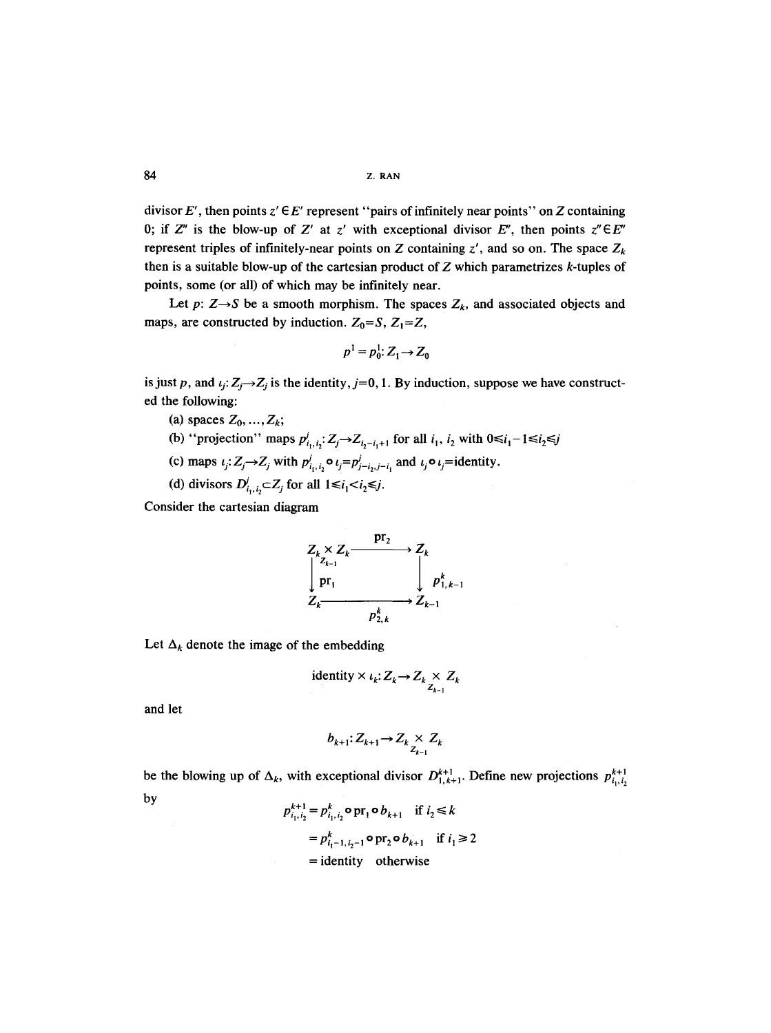divisor E', then points  $z' \in E'$  represent "pairs of infinitely near points" on Z containing 0; if  $Z''$  is the blow-up of  $Z'$  at  $z'$  with exceptional divisor  $E''$ , then points  $z'' \in E''$ represent triples of infinitely-near points on Z containing  $z'$ , and so on. The space  $Z_k$ then is a suitable blow-up of the cartesian product of  $Z$  which parametrizes  $k$ -tuples of points, some (or all) of which may be infinitely near.

Let  $p: Z \rightarrow S$  be a smooth morphism. The spaces  $Z_k$ , and associated objects and maps, are constructed by induction.  $Z_0 = S$ ,  $Z_1 = Z$ ,

$$
p^1 = p_0^1: Z_1 \rightarrow Z_0
$$

is just p, and  $\iota_j: Z_j \to Z_j$  is the identity,  $j=0, 1$ . By induction, suppose we have constructed the following:

- (a) spaces  $Z_0, \ldots, Z_k$ ;
- (b) "projection" maps  $p^j_{i_1, i_2}: Z_j \rightarrow Z_{i_2-i_1+1}$  for all  $i_1, i_2$  with  $0 \le i_1-1 \le i_2 \le j$
- (c) maps  $\iota_j: Z_j \to Z_j$  with  $p^j_{i_1,i_2} \circ \iota_j = p^j_{j-i_2,j-i_1}$  and  $\iota_j \circ \iota_j =$ identity.
- (d) divisors  $D_{i_1,i_2}^j \subset Z_j$  for all  $1 \le i_1 < i_2 \le j$ .

Consider the cartesian diagram

$$
Z_k \times Z_k \xrightarrow{\mathbf{p}r_2} Z_k
$$
  
\n
$$
\downarrow p r_1 \qquad \qquad \downarrow p^k_{1,k-1}
$$
  
\n
$$
Z_k \xrightarrow{\mathbf{p}^k_{2,k}} Z_{k-1}
$$

Let  $\Delta_k$  denote the image of the embedding

identity 
$$
\times
$$
  $\iota_k: Z_k \to Z_k \underset{Z_{k-1}}{\times} Z_k$ 

and let

$$
b_{k+1}: Z_{k+1} \to Z_k \underset{Z_{k-1}}{\times} Z_k
$$

be the blowing up of  $\Delta_k$ , with exceptional divisor  $D_{1,k+1}^{k+1}$ . Define new projections  $p_{i_1,i_2}^{k+1}$ by

$$
p_{i_1, i_2}^{k+1} = p_{i_1, i_2}^k \circ \text{pr}_1 \circ b_{k+1} \quad \text{if } i_2 \le k
$$
  
= 
$$
p_{i_1-1, i_2-1}^k \circ \text{pr}_2 \circ b_{k+1} \quad \text{if } i_1 \ge 2
$$
  
= identity otherwise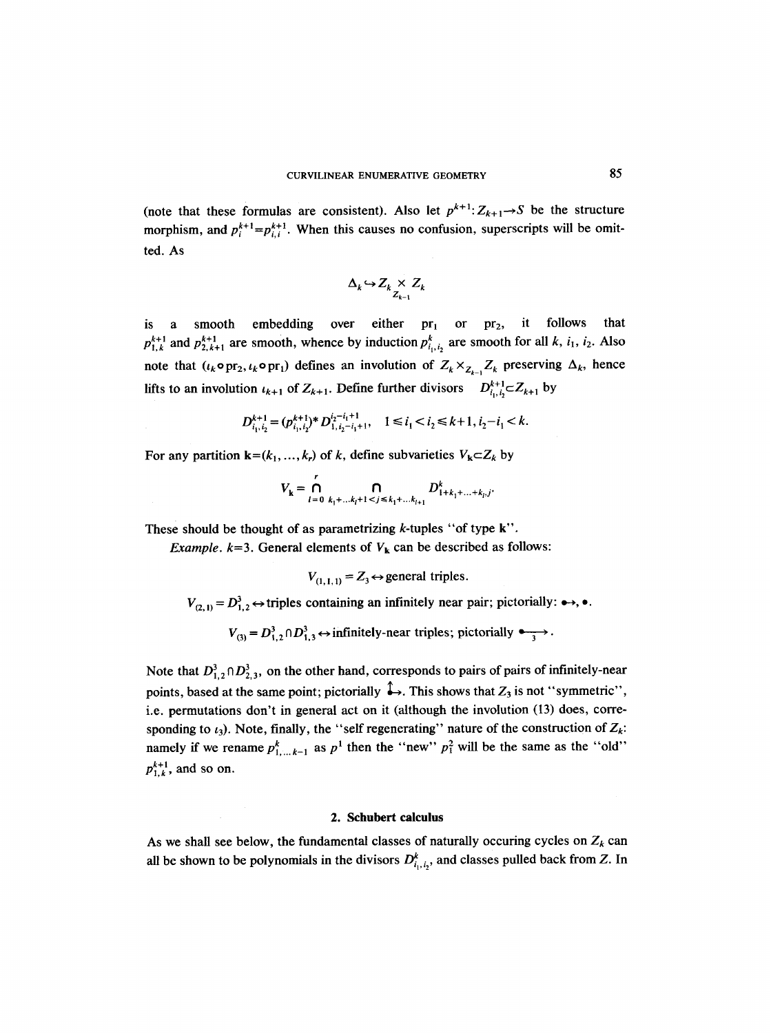(note that these formulas are consistent). Also let  $p^{k+1}$ :  $Z_{k+1} \rightarrow S$  be the structure morphism, and  $p_i^{k+1} = p_{i,i}^{k+1}$ . When this causes no confusion, superscripts will be omitted. As

$$
\Delta_k \hookrightarrow Z_k \underset{Z_{k-1}}{\times} Z_k
$$

is a smooth embedding over either  $pr_1$  or  $pr_2$ , it follows that  $p_{1,k}^{k+1}$  and  $p_{2,k+1}^{k+1}$  are smooth, whence by induction  $p_{i_1,i_2}^k$  are smooth for all k,  $i_1, i_2$ . Also note that  $(\iota_k \circ pr_2, \iota_k \circ pr_1)$  defines an involution of  $Z_k \times_{Z_{k-1}} Z_k$  preserving  $\Delta_k$ , hence lifts to an involution  $\iota_{k+1}$  of  $Z_{k+1}$ . Define further divisors  $D_{i_1,i_2}^{k+1} \subset Z_{k+1}$  by

$$
D_{i_1,i_2}^{k+1} = (p_{i_1,i_2}^{k+1})^* D_{1,i_2-i_1+1}^{i_2-i_1+1}, \quad 1 \le i_1 < i_2 \le k+1, i_2-i_1 < k.
$$

For any partition  $\mathbf{k}=(k_1, ..., k_r)$  of k, define subvarieties  $V_{\mathbf{k}} \subset Z_k$  by

$$
V_{k} = \bigcap_{l=0}^{r} \bigcap_{k_{1}+...k_{l}+1 < j \leq k_{1}+...k_{l+1}} D^{k}_{1+k_{1}+...+k_{l},j}.
$$

These should be thought of as parametrizing  $k$ -tuples "of type  $k$ ".

*Example.*  $k=3$ . General elements of  $V_k$  can be described as follows:

 $V_{(1,1,1)} = Z_3 \leftrightarrow$  general triples.

 $V_{(2, 1)} = D_{1,2}^3 \leftrightarrow$  triples containing an infinitely near pair; pictorially:  $\leftrightarrow$ ,  $\bullet$ .

 $V_{(3)} = D_{1,2}^3 \cap D_{1,3}^3 \leftrightarrow$  infinitely-near triples; pictorially  $\longleftrightarrow$ .

Note that  $D_{1,2}^3 \cap D_{2,3}^3$ , on the other hand, corresponds to pairs of pairs of infinitely-near points, based at the same point; pictorially  $\stackrel{\sim}{\leftrightarrow}$ . This shows that  $Z_3$  is not "symmetric", i.e. permutations don't in general act on it (although the involution (13) does, corresponding to  $t_3$ ). Note, finally, the "self regenerating" nature of the construction of  $Z_k$ : namely if we rename  $p_{1,\ldots,k-1}^k$  as  $p^1$  then the "new"  $p_i^2$  will be the same as the "old"  $p_{1,k}^{k+1}$ , and so on.

# **2. Schubert calculus**

As we shall see below, the fundamental classes of naturally occuring cycles on  $Z_k$  can all be shown to be polynomials in the divisors  $D_{i_1,i_2}^k$ , and classes pulled back from Z. In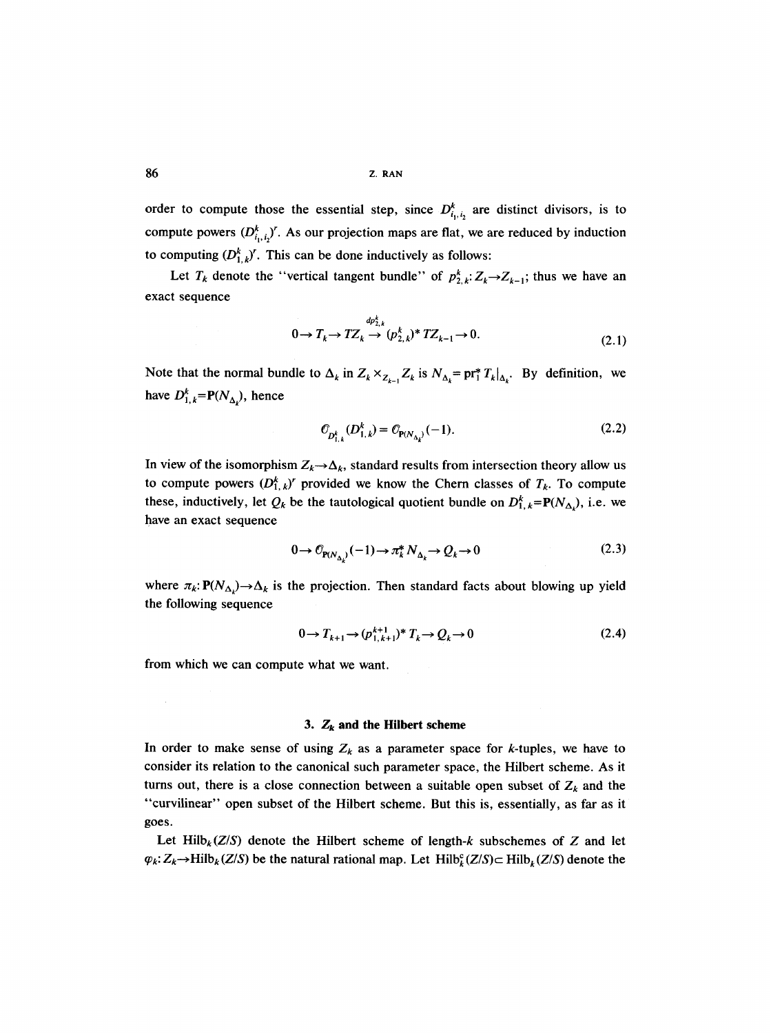order to compute those the essential step, since  $D_{i_1,i_2}^k$  are distinct divisors, is to compute powers  $(D_{i,j}^k)'$ . As our projection maps are flat, we are reduced by induction to computing  $(D_{1,k}^k)'$ . This can be done inductively as follows:

Let  $T_k$  denote the "vertical tangent bundle" of  $p_{2,k}^k: Z_k \rightarrow Z_{k-1}$ ; thus we have an exact sequence

$$
0 \to T_k \to T Z_k \stackrel{dp_{2,k}^k}{\to} (p_{2,k}^k)^* T Z_{k-1} \to 0.
$$
\n(2.1)

Note that the normal bundle to  $\Delta_k$  in  $Z_k \times_{Z_{k-1}} Z_k$  is  $N_{\Delta_k} = \text{pr}_1^* T_k|_{\Delta_k}$ . By definition, we have  $D_{1,k}^k = P(N_{\Delta_k})$ , hence

$$
\mathcal{O}_{D_{1,k}^k}(D_{1,k}^k) = \mathcal{O}_{\mathbf{P}(N_{\Delta_k})}(-1). \tag{2.2}
$$

In view of the isomorphism  $Z_k \rightarrow \Delta_k$ , standard results from intersection theory allow us to compute powers  $(D_{1,k}^{k})^r$  provided we know the Chern classes of  $T_k$ . To compute these, inductively, let  $Q_k$  be the tautological quotient bundle on  $D_{1,k}^k = P(N_{\Delta_k})$ , i.e. we have an exact sequence

$$
0 \to \mathcal{O}_{\mathbf{P}(N_{\Delta})}(-1) \to \pi_k^* N_{\Delta_k} \to \mathcal{Q}_k \to 0
$$
\n(2.3)

where  $\pi_k: \mathbf{P}(N_{\Delta_k}) \to \Delta_k$  is the projection. Then standard facts about blowing up yield the following sequence

$$
0 \to T_{k+1} \to (p_{1,k+1}^{k+1})^* T_k \to Q_k \to 0 \tag{2.4}
$$

from which we can compute what we want.

## **3.**  $Z_k$  and the Hilbert scheme

In order to make sense of using  $Z_k$  as a parameter space for k-tuples, we have to consider its relation to the canonical such parameter space, the Hilbert scheme. As it turns out, there is a close connection between a suitable open subset of  $Z_k$  and the "curvilinear" open subset of the Hilbert scheme. But this is, essentially, as far as it goes.

Let Hilb<sub>k</sub> $(Z/S)$  denote the Hilbert scheme of length-k subschemes of Z and let  $\varphi_k: Z_k \to \text{Hilb}_k(Z/S)$  be the natural rational map. Let  $\text{Hilb}_k^c(Z/S) \subset \text{Hilb}_k(Z/S)$  denote the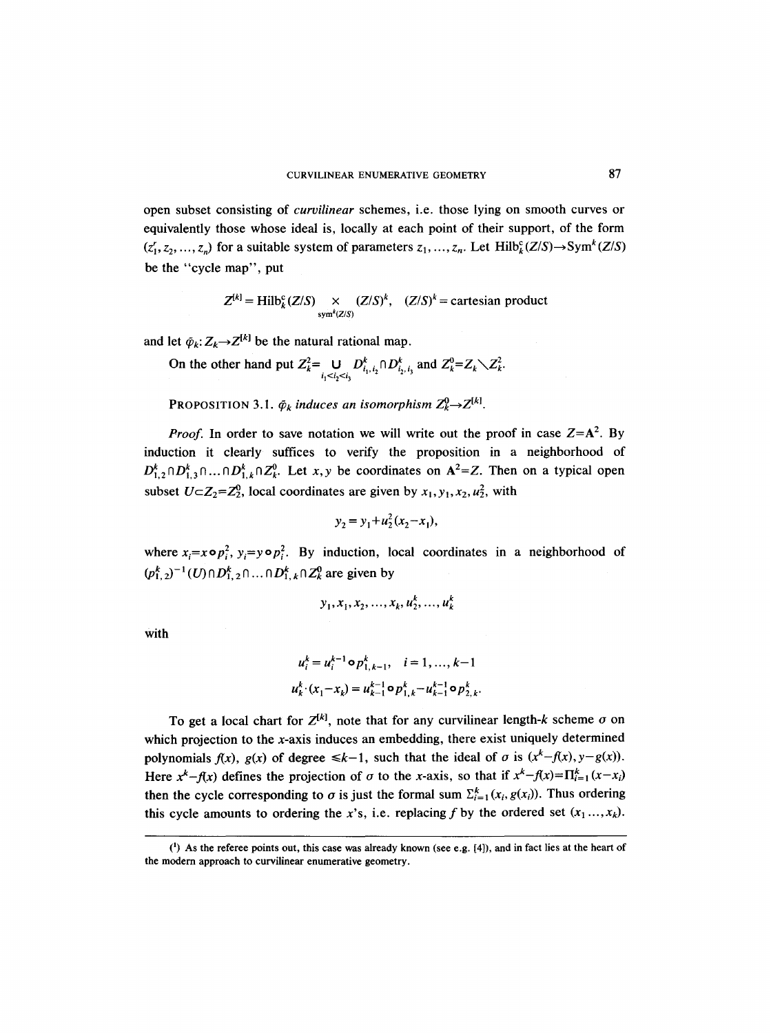open subset consisting of *curvilinear* schemes, i.e. those lying on smooth curves or equivalently those whose ideal is, locally at each point of their support, of the form  $(z'_1, z_2, ..., z_n)$  for a suitable system of parameters  $z_1, ..., z_n$ . Let Hilb<sup>c</sup><sub>k</sub> $(Z/S) \rightarrow Sym^k(Z/S)$ be the "cycle map", put

$$
Z^{[k]} = \text{Hilb}_{k}^{c}(Z/S) \underset{\text{sym}^{k}(Z/S)}{\times} (Z/S)^{k}, \quad (Z/S)^{k} = \text{cartesian product}
$$

and let  $\tilde{\varphi}_k: Z_k \rightarrow Z^{[k]}$  be the natural rational map.

On the other hand put  $Z_k^2 = \bigcup D_{i_1,i_2}^k \cap D_{i_2,i_3}^k$  and  $Z_k^0 = Z_k \setminus Z_k^2$ .  $i_1 < i_2 < i_3$ 

**PROPOSITION 3.1.**  $\tilde{\varphi}_k$  *induces an isomorphism*  $Z_k^0 \rightarrow Z^{[k]}$ .

*Proof.* In order to save notation we will write out the proof in case  $Z = A^2$ . By induction it clearly suffices to verify the proposition in a neighborhood of  $D_{1,2}^k \cap D_{1,3}^k \cap \ldots \cap D_{1,k}^k \cap Z_k^0$ . Let *x*, *y* be coordinates on A<sup>2</sup>=Z. Then on a typical open subset  $U \subset Z_2 = Z_2^0$ , local coordinates are given by  $x_1, y_1, x_2, u_2^2$ , with

$$
y_2 = y_1 + u_2^2 (x_2 - x_1),
$$

where  $x_i=x \circ p_i^2$ ,  $y_i=y \circ p_i^2$ . By induction, local coordinates in a neighborhood of  $(p_{1,2}^k)^{-1}(U) \cap D_{1,2}^k \cap ... \cap D_{1,k}^k \cap Z_k^0$  are given by

$$
y_1, x_1, x_2, ..., x_k, u_2^k, ..., u_k^k
$$

with

$$
u_i^k = u_i^{k-1} \circ p_{1,k-1}^k, \quad i = 1, ..., k-1
$$
  

$$
u_k^k \cdot (x_1 - x_k) = u_{k-1}^{k-1} \circ p_{1,k}^k - u_{k-1}^{k-1} \circ p_{2,k}^k.
$$

To get a local chart for  $Z^{[k]}$ , note that for any curvilinear length-k scheme  $\sigma$  on which projection to the x-axis induces an embedding, there exist uniquely determined polynomials  $f(x)$ ,  $g(x)$  of degree  $\le k-1$ , such that the ideal of  $\sigma$  is  $(x^k-f(x), y-g(x))$ . Here  $x^k-f(x)$  defines the projection of  $\sigma$  to the x-axis, so that if  $x^k-f(x)=\prod_{i=1}^k(x-x_i)$ then the cycle corresponding to  $\sigma$  is just the formal sum  $\Sigma_{i=1}^k (x_i, g(x_i))$ . Thus ordering this cycle amounts to ordering the x's, i.e. replacing f by the ordered set  $(x_1, ..., x_k)$ .

 $(1)$  As the referee points out, this case was already known (see e.g.  $[4]$ ), and in fact lies at the heart of the modern approach to curvilinear enumerative geometry.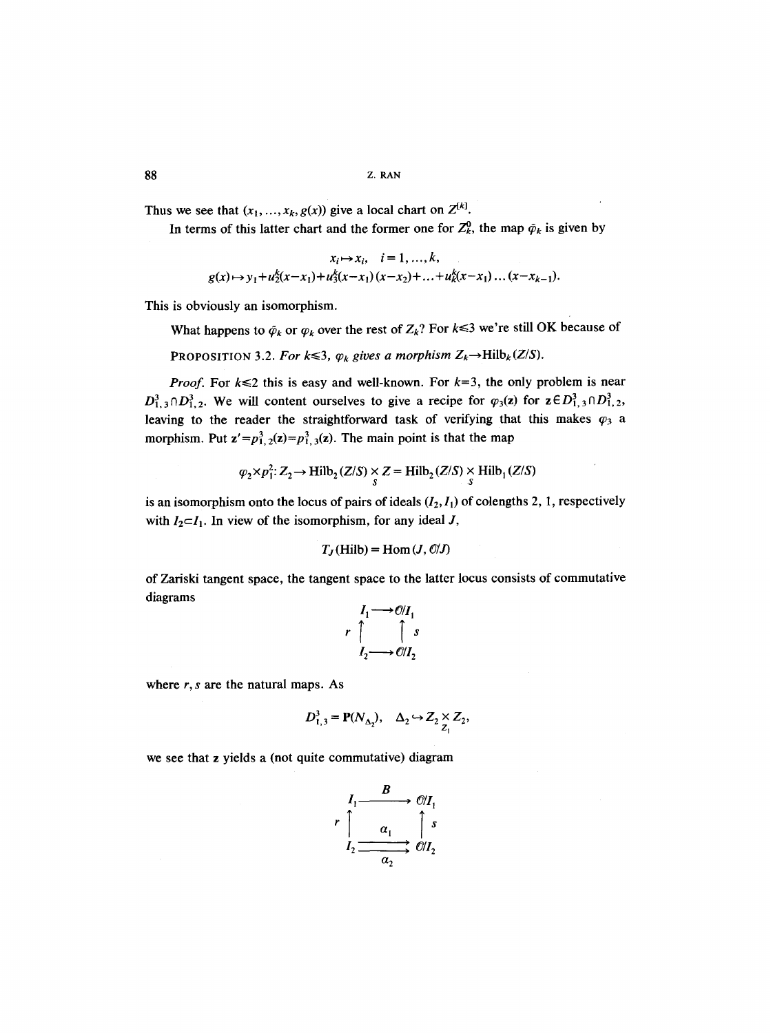Thus we see that  $(x_1, ..., x_k, g(x))$  give a local chart on  $Z^{[k]}$ .

In terms of this latter chart and the former one for  $Z_k^0$ , the map  $\tilde{\varphi}_k$  is given by

$$
x_i \mapsto x_i, \quad i = 1, ..., k,
$$
  
 
$$
g(x) \mapsto y_1 + u_2^k(x - x_1) + u_3^k(x - x_1)(x - x_2) + ... + u_k^k(x - x_1) ... (x - x_{k-1}).
$$

This is obviously an isomorphism.

What happens to  $\tilde{\varphi}_k$  or  $\varphi_k$  over the rest of  $Z_k$ ? For  $k \leq 3$  we're still OK because of

**PROPOSITION 3.2. For**  $k \leq 3$ **,**  $\varphi_k$  **gives a morphism**  $Z_k \rightarrow \text{Hilb}_k(Z/S)$ **.** 

*Proof.* For  $k \le 2$  this is easy and well-known. For  $k=3$ , the only problem is near  $D_{1,3}^3 \cap D_{1,2}^3$ . We will content ourselves to give a recipe for  $\varphi_3(z)$  for  $z \in D_{1,3}^3 \cap D_{1,2}^3$ , leaving to the reader the straightforward task of verifying that this makes  $\varphi_3$  a morphism. Put  $z' = p_{1,2}^3(z) = p_{1,3}^3(z)$ . The main point is that the map

$$
\varphi_2 \times p_1^2: Z_2 \to \text{Hilb}_2(Z/S) \times Z = \text{Hilb}_2(Z/S) \times \text{Hilb}_1(Z/S)
$$

is an isomorphism onto the locus of pairs of ideals  $(I_2, I_1)$  of colengths 2, 1, respectively with  $I_2 \subset I_1$ . In view of the isomorphism, for any ideal J,

$$
T_J(\text{Hilb}) = \text{Hom}(J, O/J)
$$

of Zariski tangent space, the tangent space to the latter locus consists of commutative diagrams

$$
r \uparrow \qquad \qquad \uparrow \qquad \qquad \uparrow \qquad \qquad \uparrow \qquad \qquad \uparrow \qquad \qquad \uparrow \qquad \qquad \downarrow \qquad \qquad \downarrow \qquad \qquad \downarrow \qquad \qquad \downarrow \qquad \qquad \downarrow \qquad \qquad \downarrow \qquad \qquad \downarrow \qquad \qquad \downarrow \qquad \qquad \downarrow \qquad \qquad \downarrow \qquad \qquad \downarrow \qquad \qquad \downarrow \qquad \qquad \downarrow \qquad \qquad \downarrow \qquad \qquad \downarrow \qquad \qquad \downarrow \qquad \qquad \downarrow \qquad \qquad \downarrow \qquad \qquad \downarrow \qquad \qquad \downarrow \qquad \qquad \downarrow \qquad \qquad \downarrow \qquad \qquad \downarrow \qquad \qquad \downarrow \qquad \qquad \downarrow \qquad \qquad \downarrow \qquad \qquad \downarrow \qquad \qquad \downarrow \qquad \qquad \downarrow \qquad \qquad \downarrow \qquad \qquad \downarrow \qquad \qquad \downarrow \qquad \qquad \downarrow \qquad \qquad \downarrow \qquad \qquad \downarrow \qquad \qquad \downarrow \qquad \qquad \downarrow \qquad \qquad \downarrow \qquad \qquad \downarrow \qquad \qquad \downarrow \qquad \qquad \downarrow \qquad \qquad \downarrow \qquad \qquad \downarrow \qquad \qquad \downarrow \qquad \qquad \downarrow \qquad \qquad \downarrow \qquad \qquad \downarrow \qquad \qquad \downarrow \qquad \qquad \downarrow \qquad \qquad \downarrow \qquad \qquad \downarrow \qquad \qquad \downarrow \qquad \qquad \downarrow \qquad \qquad \downarrow \qquad \qquad \downarrow \qquad \qquad \downarrow \qquad \qquad \downarrow \qquad \qquad \downarrow \qquad \qquad \downarrow \qquad \qquad \downarrow \qquad \qquad \downarrow \qquad \qquad \downarrow \qquad \qquad \downarrow \qquad \qquad \downarrow \qquad \qquad \downarrow \qquad \qquad \downarrow \qquad \qquad \downarrow \qquad \qquad \downarrow \qquad \qquad \downarrow \qquad \qquad \downarrow \qquad \qquad \downarrow \qquad \qquad \downarrow \qquad \qquad \downarrow \qquad \qquad \downarrow \qquad \qquad \downarrow \qquad \qquad \downarrow \qquad \qquad \downarrow \qquad \qquad \downarrow \qquad \qquad \down
$$

where *r, s* are the natural maps. As

$$
D_{1,3}^3 = \mathbf{P}(N_{\Delta_2}), \quad \Delta_2 \hookrightarrow Z_2 \underset{Z_1}{\times} Z_2,
$$

we see that z yields a (not quite commutative) diagram

$$
r \uparrow \qquad \alpha_1 \qquad \longrightarrow \qquad \mathcal{O}/I_1
$$
\n
$$
r \uparrow \qquad \alpha_1 \qquad \qquad \uparrow s
$$
\n
$$
I_2 \longrightarrow \qquad \qquad \mathcal{O}/I_2
$$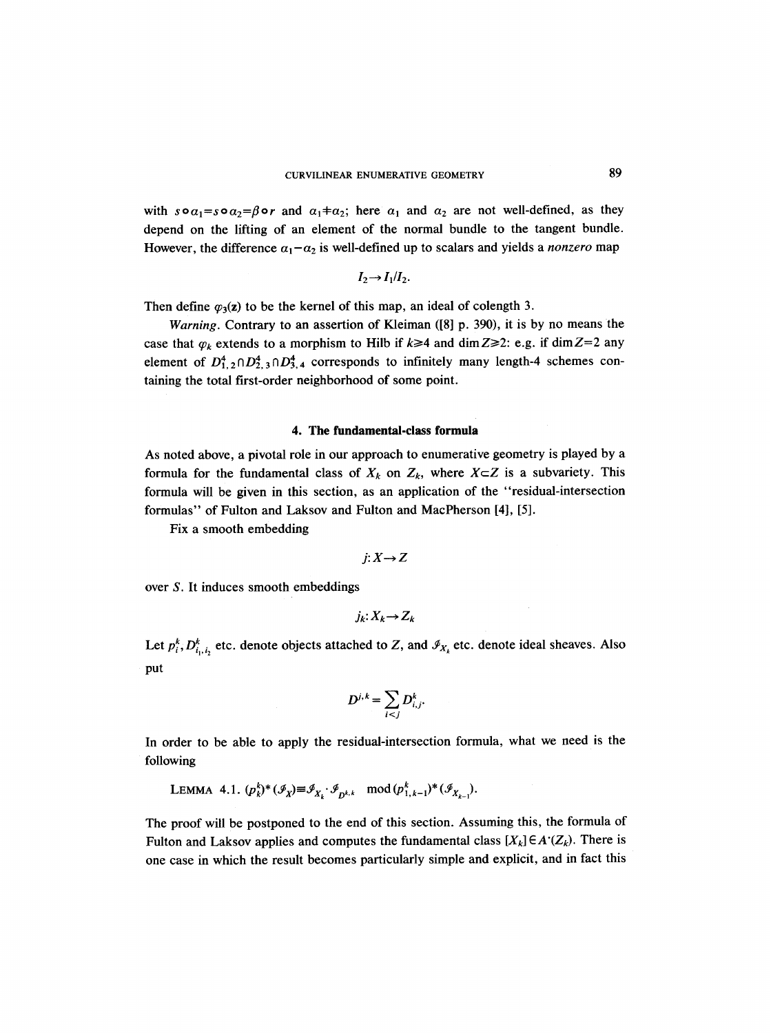with  $s \circ a_1 = s \circ a_2 = \beta \circ r$  and  $a_1 \neq a_2$ ; here  $a_1$  and  $a_2$  are not well-defined, as they depend on the lifting of an element of the normal bundle to the tangent bundle. However, the difference  $\alpha_1 - \alpha_2$  is well-defined up to scalars and yields a *nonzero* map

$$
I_2 \rightarrow I_1/I_2.
$$

Then define  $\varphi_3(z)$  to be the kernel of this map, an ideal of colength 3.

*Warning.* Contrary to an assertion of Kleiman ([8] p. 390), it is by no means the case that  $\varphi_k$  extends to a morphism to Hilb if  $k \geq 4$  and dim  $\mathbb{Z} \geq 2$ : e.g. if dim  $\mathbb{Z}=2$  any element of  $D_{1,2}^4 \cap D_{2,3}^4 \cap D_{3,4}^4$  corresponds to infinitely many length-4 schemes containing the total first-order neighborhood of some point.

# **4. The fundamental-class formula**

As noted above, a pivotal role in our approach to enumerative geometry is played by a formula for the fundamental class of  $X_k$  on  $Z_k$ , where  $X \subset Z$  is a subvariety. This formula will be given in this section, as an application of the "residual-intersection formulas" of Fulton and Laksov and Fulton and MacPherson [4], [5].

Fix a smooth embedding

$$
j: X \rightarrow Z
$$

over S. It induces smooth embeddings

$$
j_k\colon X_k\to Z_k
$$

Let  $p_i^k$ ,  $D_{i_1,i_2}^k$  etc. denote objects attached to Z, and  $\mathcal{I}_{X_k}$  etc. denote ideal sheaves. Also put

$$
D^{j,k}=\sum_{i
$$

In order to be able to apply the residual-intersection formula, what we need is the following

LEMMA 4.1. 
$$
(p_k^k)^*(\mathcal{I}_X) \equiv \mathcal{I}_{X_k} \cdot \mathcal{I}_{p^{k,k}}
$$
 mod  $(p_{1,k-1}^k)^*(\mathcal{I}_{X_{k-1}})$ .

The proof will be postponed to the end of this section. Assuming this, the formula of Fulton and Laksov applies and computes the fundamental class  $[X_k] \in A^{\cdot}(Z_k)$ . There is one case in which the result becomes particularly simple and explicit, and in fact this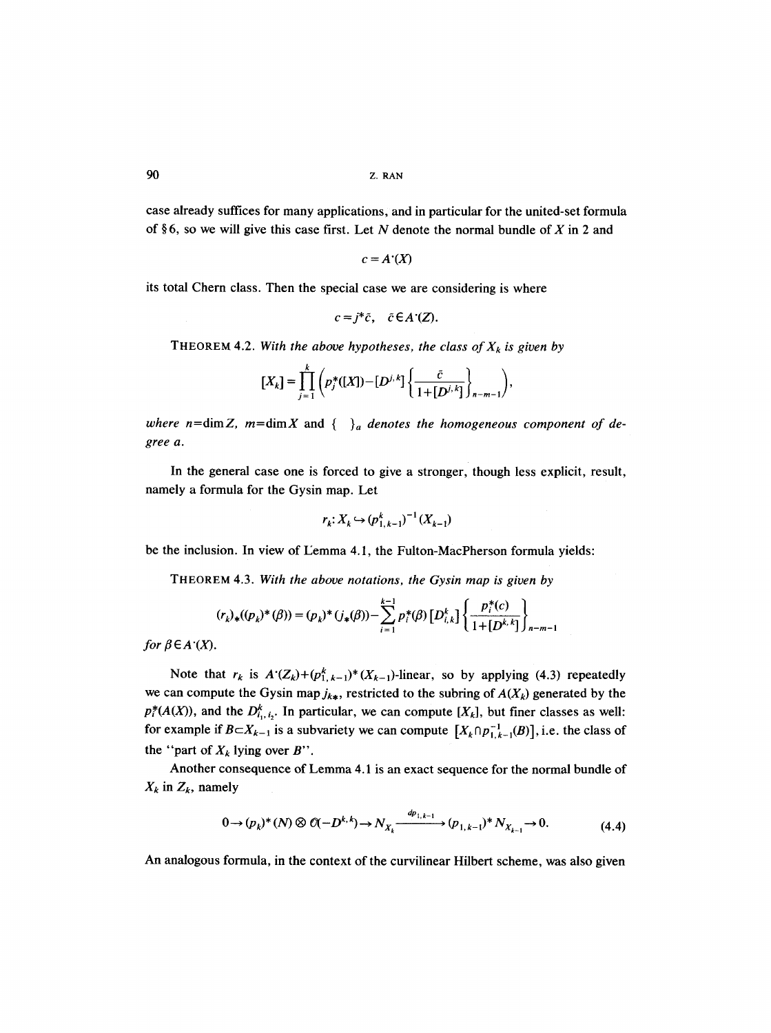case already suffices for many applications, and in particular for the united-set formula of §6, so we will give this case first. Let N denote the normal bundle of X in 2 and

$$
c = A'(X)
$$

its total Chern class. Then the special case we are considering is where

$$
c=j^*\tilde{c}, \quad \tilde{c}\in A^*(Z).
$$

THEOREM 4.2. With the above hypotheses, the class of  $X_k$  is given by

$$
[X_k] = \prod_{j=1}^k \left( p_j^*([X]) - [D^{j,k}] \left\{ \frac{\tilde{c}}{1 + [D^{j,k}]} \right\}_{n-m-1} \right),
$$

where  $n = \dim Z$ ,  $m = \dim X$  and  $\{-\}_a$  denotes the homogeneous component of de*gree a.* 

In the general case one is forced to give a stronger, though less explicit, result, namely a formula for the Gysin map. Let

$$
r_k: X_k \hookrightarrow (p_{1,k-1}^k)^{-1}(X_{k-1})
$$

be the inclusion. In view of I2emma **4.1,** the Fulton-MacPherson formula yields:

THEOREM 4.3. *With the above notations, the Gysin map is given by* 

$$
(r_k)_*(p_k)^*(\beta)) = (p_k)^*(j_*(\beta)) - \sum_{i=1}^{k-1} p_i^*(\beta) \left[D_{i,k}^k\right] \left\{\frac{p_i^*(c)}{1 + [D^{k,k}]} \right\}_{n-m-1}
$$

*for*  $\beta \in A'(X)$ .

Note that  $r_k$  is  $A'(Z_k)+(p_{1,k-1}^k)(X_{k-1})$ -linear, so by applying (4.3) repeatedly we can compute the Gysin map  $j_{k*}$ , restricted to the subring of  $A(X_k)$  generated by the  $p_i^*(A(X))$ , and the  $D_{i_1, i_2}^k$ . In particular, we can compute  $[X_k]$ , but finer classes as well: for example if  $B \subset X_{k-1}$  is a subvariety we can compute  $[X_k \cap p_{1,k-1}^{-1}(B)]$ , i.e. the class of the "part of  $X_k$  lying over B".

Another consequence of Lemma 4.1 is an exact sequence for the normal bundle of  $X_k$  in  $Z_k$ , namely

$$
0 \to (p_k)^*(N) \otimes \mathcal{O}(-D^{k,k}) \to N_{X_k} \xrightarrow{dp_{1,k-1}} (p_{1,k-1})^* N_{X_{k-1}} \to 0. \tag{4.4}
$$

An analogous formula, in the context of the curvilinear Hilbert scheme, was also given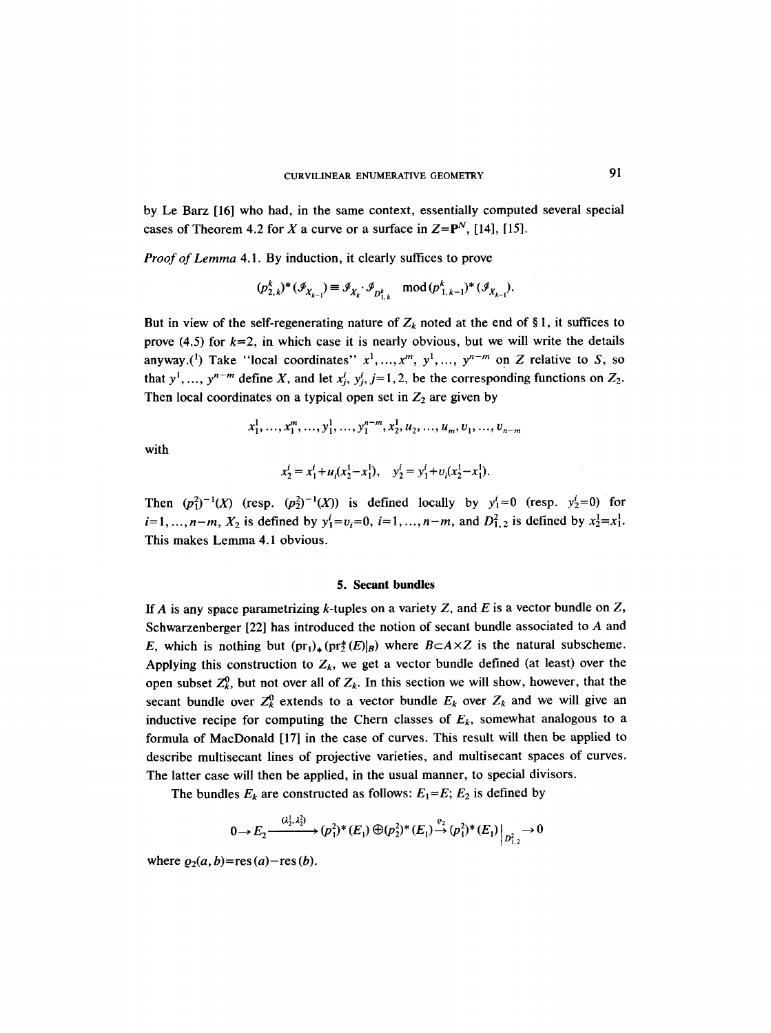by Le Barz [16] who had, in the same context, essentially computed several special cases of Theorem 4.2 for X a curve or a surface in  $Z = P<sup>N</sup>$ , [14], [15].

*Proof of Lemma* 4.1. By induction, it clearly suffices to prove

$$
(\rho_{2,k}^k)^*(\mathcal{I}_{X_{k-1}}) \equiv \mathcal{I}_{X_k} \cdot \mathcal{I}_{D_{1,k}^k} \mod (p_{1,k-1}^k)^*(\mathcal{I}_{X_{k-1}}).
$$

But in view of the self-regenerating nature of  $Z_k$  noted at the end of §1, it suffices to prove (4.5) for  $k=2$ , in which case it is nearly obvious, but we will write the details anyway.<sup>(1</sup>) Take "local coordinates"  $x^1, ..., x^m, y^1, ..., y^{n-m}$  on Z relative to S, so that  $y^1, ..., y^{n-m}$  define X, and let  $x^i_j, y^i_j, j=1,2$ , be the corresponding functions on  $Z_2$ . Then local coordinates on a typical open set in  $Z_2$  are given by

$$
x_1^1, \ldots, x_1^m, \ldots, y_1^1, \ldots, y_1^{n-m}, x_2^1, u_2, \ldots, u_m, v_1, \ldots, v_{n-m}
$$

with

$$
x_2^i = x_1^i + u_i(x_2^1 - x_1^1), \quad y_2^i = y_1^i + v_i(x_2^1 - x_1^1).
$$

Then  $(p_1^2)^{-1}(X)$  (resp.  $(p_2^2)^{-1}(X)$ ) is defined locally by  $y_1^i=0$  (resp.  $y_2^i=0$ ) for  $i=1, ..., n-m$ ,  $X_2$  is defined by  $y_1^i=v_i=0, i=1, ..., n-m$ , and  $D_{1,2}^2$  is defined by  $x_2^1=x_1^1$ . This makes Lemma 4.1 obvious.

### **5. Secant bundles**

If A is any space parametrizing k-tuples on a variety Z, and E is a vector bundle on Z, Schwarzenberger [22] has introduced the notion of secant bundle associated to A and E, which is nothing but  $(pr_1)_*(pr_2^*(E)|_B)$  where  $B \subset A \times Z$  is the natural subscheme. Applying this construction to  $Z_k$ , we get a vector bundle defined (at least) over the open subset  $Z_k^0$ , but not over all of  $Z_k$ . In this section we will show, however, that the secant bundle over  $Z_k^0$  extends to a vector bundle  $E_k$  over  $Z_k$  and we will give an inductive recipe for computing the Chern classes of  $E<sub>k</sub>$ , somewhat analogous to a formula of MacDonald [171 in the case of curves. This result will then be applied to describe multisecant lines of projective varieties, and multisecant spaces of curves. The latter case will then be applied, in the usual manner, to special divisors.

The bundles  $E_k$  are constructed as follows:  $E_1 = E$ ;  $E_2$  is defined by

$$
0 \to E_2 \xrightarrow{(\lambda_2^1, \lambda_2^2)} (\rho_1^2)^* (E_1) \oplus (\rho_2^2)^* (E_1) \xrightarrow{\varrho_2} (\rho_1^2)^* (E_1) \Big|_{D_{1,2}^2} \to 0
$$

where  $\rho_2(a, b)$ =res (a)-res (b).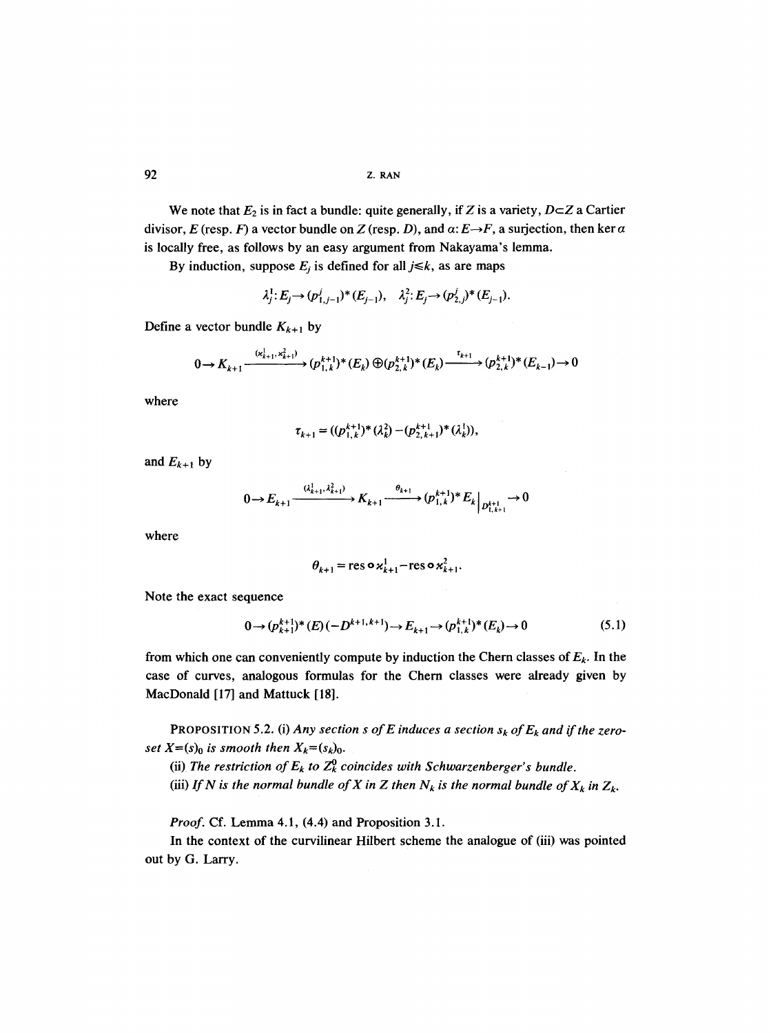We note that  $E_2$  is in fact a bundle: quite generally, if Z is a variety,  $D \subset Z$  a Cartier divisor, E (resp. F) a vector bundle on Z (resp. D), and  $\alpha$ :  $E \rightarrow F$ , a surjection, then ker  $\alpha$ is locally free, as follows by an easy argument from Nakayama's lemma.

By induction, suppose  $E_j$  is defined for all  $j \le k$ , as are maps

$$
\lambda_j^1: E_j \to (p_{1,j-1}^j)^*(E_{j-1}), \quad \lambda_j^2: E_j \to (p_{2,j}^j)^*(E_{j-1}).
$$

Define a vector bundle  $K_{k+1}$  by

$$
0 \to K_{k+1} \xrightarrow{(x_{k+1}^1, x_{k+1}^2)} (p_{1,k}^{k+1})^*(E_k) \oplus (p_{2,k}^{k+1})^*(E_k) \xrightarrow{\tau_{k+1}} (p_{2,k}^{k+1})^*(E_{k-1}) \to 0
$$

where

$$
\tau_{k+1} = ((p_{1,k}^{k+1})^* (\lambda_k^2) - (p_{2,k+1}^{k+1})^* (\lambda_k^1)),
$$

and  $E_{k+1}$  by

$$
0 \to E_{k+1} \xrightarrow{( \lambda_{k+1}^1, \lambda_{k+1}^2) } K_{k+1} \xrightarrow{\theta_{k+1}} (p_{1,k}^{k+1})^* E_k \Big|_{D_{1,k+1}^{k+1}} \to 0
$$

where

$$
\theta_{k+1} = \operatorname{res} \circ \varkappa_{k+1}^1 - \operatorname{res} \circ \varkappa_{k+1}^2.
$$

Note the exact sequence

$$
0 \to (p_{k+1}^{k+1})^*(E) (-D^{k+1,k+1}) \to E_{k+1} \to (p_{1,k}^{k+1})^*(E_k) \to 0
$$
\n
$$
(5.1)
$$

from which one can conveniently compute by induction the Chern classes of  $E_k$ . In the case of curves, analogous formulas for the Chern classes were already given by MacDonald [17] and Mattuck [18].

PROPOSITION 5.2. (i) Any section s of E induces a section  $s_k$  of  $E_k$  and if the zero*set*  $X=(s)_0$  *is smooth then*  $X_k=(s_k)_0$ .

(ii) The restriction of  $E_k$  to  $Z_k^0$  coincides with Schwarzenberger's bundle.

(iii) If N is the normal bundle of X in Z then  $N_k$  is the normal bundle of  $X_k$  in  $Z_k$ .

*Proof.* Cf. Lemma 4.1, (4.4) and Proposition 3.1.

In the context of the curvilinear Hilbert scheme the analogue of (iii) was pointed out by G. Larry.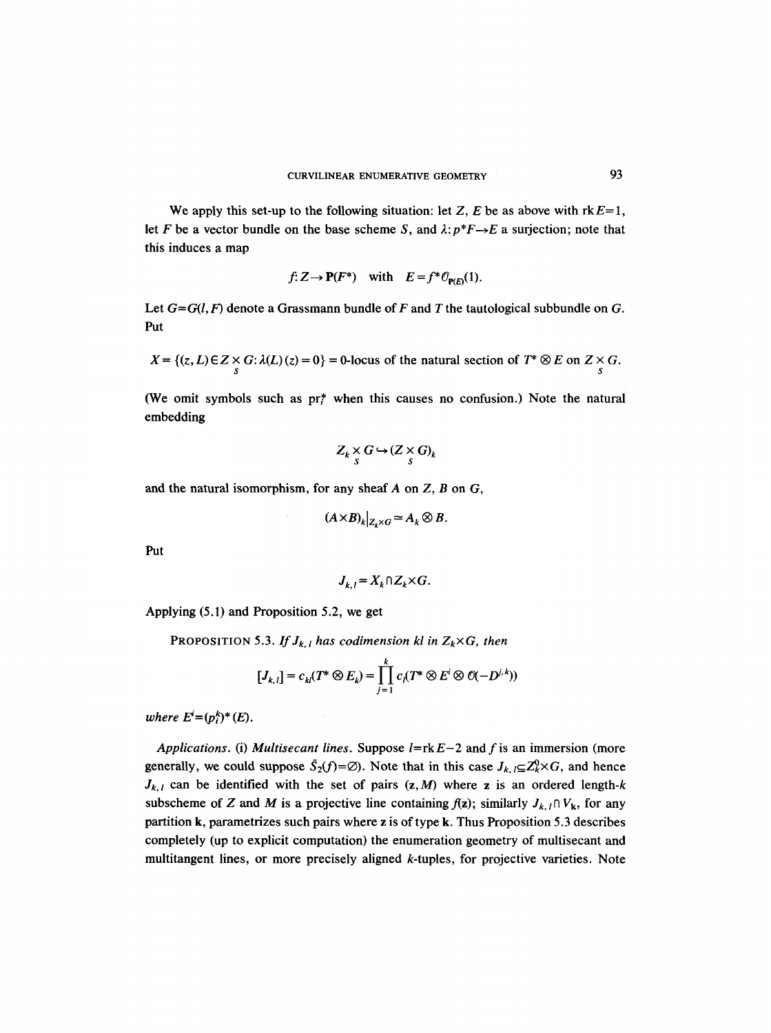We apply this set-up to the following situation: let Z, E be as above with  $rkE=1$ , let F be a vector bundle on the base scheme S, and  $\lambda: p^*F \rightarrow E$  a surjection; note that this induces a map

$$
f: Z \to \mathbf{P}(F^*)
$$
 with  $E = f^* \mathcal{O}_{\mathbf{P}(E)}(1)$ .

Let  $G = G(l, F)$  denote a Grassmann bundle of F and T the tautological subbundle on G. Put

$$
X = \{(z, L) \in Z \times G : \lambda(L)(z) = 0\} = 0 \text{ -locus of the natural section of } T^* \otimes E \text{ on } Z \times G.
$$

(We omit symbols such as  $pr_{\ell}^*$  when this causes no confusion.) Note the natural embedding

$$
Z_k \underset{S}{\times} G \hookrightarrow (Z \underset{S}{\times} G)_k
$$

and the natural isomorphism, for any sheaf  $A$  on  $Z$ ,  $B$  on  $G$ ,

$$
(A\times B)_k|_{Z_k\times G}\simeq A_k\otimes B.
$$

*Put* 

$$
J_{k,l} = X_k \cap Z_k \times G.
$$

Applying (5.1) and Proposition 5.2, we get

PROPOSITION 5.3. *If*  $J_{k,l}$  *has codimension kl in*  $Z_k \times G$ *, then* 

$$
[J_{k,l}]=c_{kl}(T^*\otimes E_k)=\prod_{j=1}^kc_l(T^*\otimes E^i\otimes \mathcal{O}(-D^{j,k}))
$$

*where*  $E^{i}=(p_{i}^{k})^{*}(E)$ *.* 

*Applications.* (i) *Multisecant lines.* Suppose  $l = rkE-2$  and f is an immersion (more generally, we could suppose  $\bar{S}_2(f)=\emptyset$ . Note that in this case  $J_{k,l} \subseteq \mathbb{Z}_k^0 \times G$ , and hence  $J_{k,l}$  can be identified with the set of pairs  $(z, M)$  where z is an ordered length-k subscheme of Z and M is a projective line containing  $f(z)$ ; similarly  $J_{k, l} \cap V_{k}$ , for any partition k, parametrizes such pairs where z is of type k. Thus Proposition 5.3 describes completely (up to explicit computation) the enumeration geometry of multisecant and multitangent lines, or more precisely aligned k-tuples, for projective varieties. Note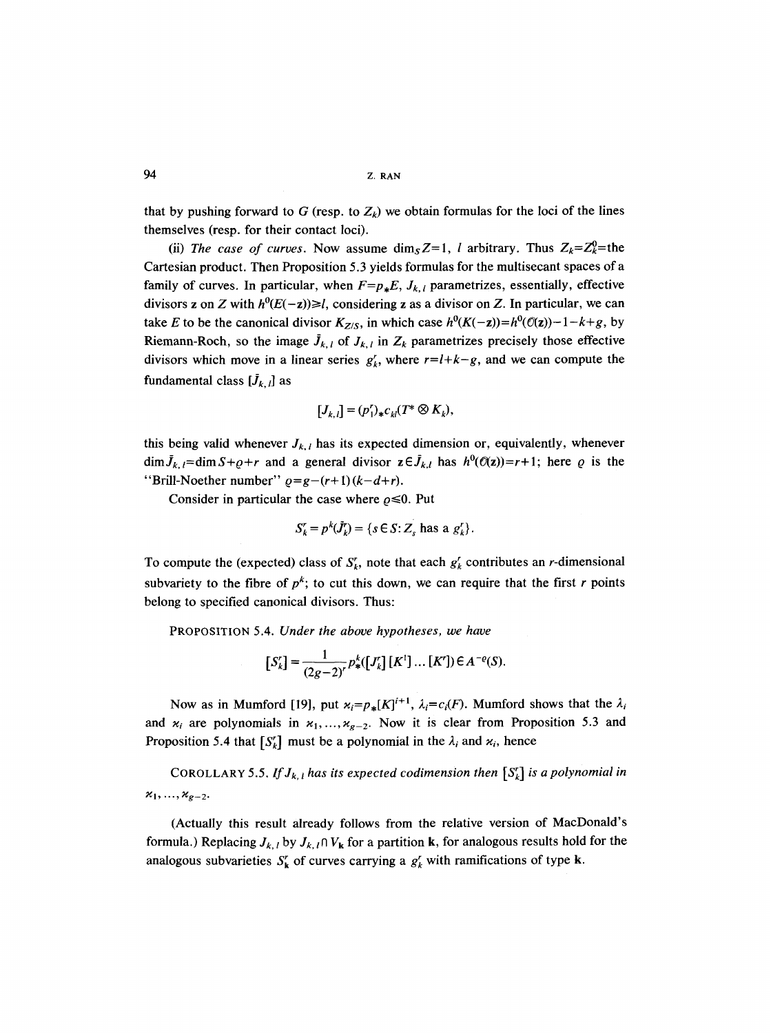that by pushing forward to G (resp. to  $Z_k$ ) we obtain formulas for the loci of the lines themselves (resp. for their contact loci).

(ii) *The case of curves.* Now assume dim<sub>s</sub>  $Z=1$ , *l* arbitrary. Thus  $Z_k=Z_k^0=$  the Cartesian product. Then Proposition 5.3 yields formulas for the multisecant spaces of a family of curves. In particular, when  $F=p_*E$ ,  $J_{k,l}$  parametrizes, essentially, effective divisors z on Z with  $h^0(E(-z)) \ge l$ , considering z as a divisor on Z. In particular, we can take E to be the canonical divisor  $K_{Z/S}$ , in which case  $h^0(K(-z)) = h^0(\mathcal{O}(z)) - 1 - k + g$ , by Riemann-Roch, so the image  $J_{k,l}$  of  $J_{k,l}$  in  $Z_k$  parametrizes precisely those effective divisors which move in a linear series  $g'_{k}$ , where  $r=l+k-g$ , and we can compute the fundamental class  $[\tilde{J}_{k, l}]$  as

$$
[J_{k,l}] = (p'_1)_* c_{kl} (T^* \otimes K_k),
$$

this being valid whenever  $J_{k,l}$  has its expected dimension or, equivalently, whenever  $\dim \bar{J}_{k,l} = \dim S + \rho + r$  and a general divisor  $z \in \bar{J}_{k,l}$  has  $h^0(\mathcal{O}(z)) = r+1$ ; here  $\varrho$  is the "Brill-Noether number"  $\rho = g - (r + 1)(k - d + r)$ .

Consider in particular the case where  $\rho \le 0$ . Put

$$
S'_{k} = p^{k}(\tilde{J}'_{k}) = \{ s \in S : Z_{s} \text{ has a } g'_{k} \}.
$$

To compute the (expected) class of  $S_k^r$ , note that each  $g_k^r$  contributes an *r*-dimensional subvariety to the fibre of  $p^k$ ; to cut this down, we can require that the first r points belong to specified canonical divisors. Thus:

PROPOSITION 5.4. *Under the above hypotheses, we have* 

$$
[S'_{k}] = \frac{1}{(2g-2)^{r}} p_{*}^{k} ([J'_{k}] [K''] \dots [K']) \in A^{-e}(S).
$$

Now as in Mumford [19], put  $\varkappa_i = p_*[K]^{i+1}$ ,  $\lambda_i = c_i(F)$ . Mumford shows that the  $\lambda_i$ and  $x_i$  are polynomials in  $x_1, ..., x_{g-2}$ . Now it is clear from Proposition 5.3 and Proposition 5.4 that  $[S'_k]$  must be a polynomial in the  $\lambda_i$  and  $\varkappa_i$ , hence

COROLLARY 5.5. If  $J_{k,l}$  has its expected codimension then  $[S_k^r]$  *is a polynomial in*  $x_1, ..., x_{g-2}.$ 

(Actually this result already follows from the relative version of MacDonald's formula.) Replacing  $J_{k, l}$  by  $J_{k, l} \cap V_{k}$  for a partition k, for analogous results hold for the analogous subvarieties  $S_k'$  of curves carrying a  $g_k'$  with ramifications of type **k**.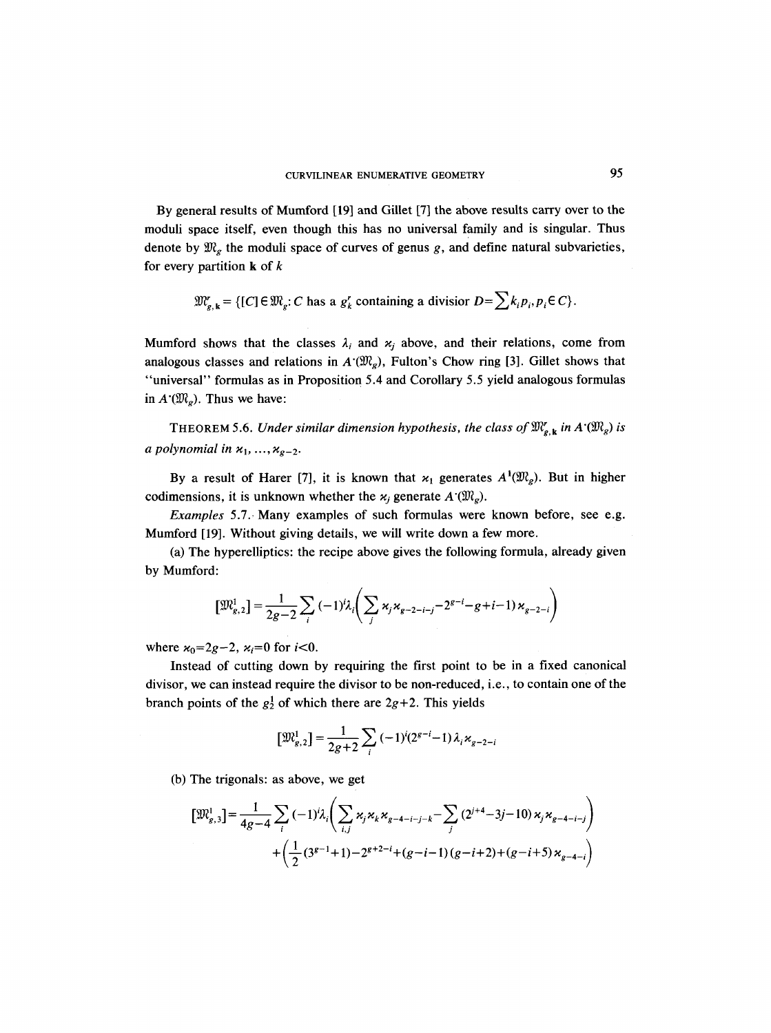By general results of Mumford [19] and GiUet [7] the above results carry over to the moduli space itself, even though this has no universal family and is singular. Thus denote by  $\mathfrak{M}_g$  the moduli space of curves of genus g, and define natural subvarieties, for every partition  $k$  of  $k$ 

$$
\mathfrak{M}_{g,\,k}^r = \{ [C] \in \mathfrak{M}_g : C \text{ has a } g'_k \text{ containing a divisor } D = \sum k_i p_i, p_i \in C \}.
$$

Mumford shows that the classes  $\lambda_i$  and  $\varkappa_i$  above, and their relations, come from analogous classes and relations in  $A'(W_g)$ , Fulton's Chow ring [3]. Gillet shows that "universal" formulas as in Proposition 5.4 and Corollary 5.5 yield analogous formulas in  $A'(W_{\varphi})$ . Thus we have:

THEOREM 5.6. *Under similar dimension hypothesis, the class of*  $\mathfrak{M}_{g,k}^r$  *in A* $(\mathfrak{M}_g)$  *is a polynomial in*  $x_1, \ldots, x_{g-2}$ .

By a result of Harer [7], it is known that  $x_1$  generates  $A^1(\mathfrak{M}_e)$ . But in higher codimensions, it is unknown whether the  $x_i$  generate  $A^{\cdot}(\mathfrak{M}_g)$ .

*Examples* 5.7. Many examples of such formulas were known before, see e.g. Mumford [19]. Without giving details, we will write down a few more.

(a) The hyperelliptics: the recipe above gives the following formula, already given by Mumford:

$$
[\mathfrak{M}_{g,2}^1] = \frac{1}{2g-2} \sum_{i} (-1)^i \lambda_i \left( \sum_{j} \kappa_j \kappa_{g-2-i-j} - 2^{g-i} - g + i - 1 \right) \kappa_{g-2-i} \right)
$$

where  $\varkappa_0 = 2g - 2$ ,  $\varkappa_i = 0$  for  $i < 0$ .

Instead of cutting down by requiring the first point to be in a fixed canonical divisor, we can instead require the divisor to be non-reduced, i.e., to contain one of the branch points of the  $g_2^1$  of which there are  $2g+2$ . This yields

$$
[\mathfrak{M}_{g,2}^1] = \frac{1}{2g+2} \sum_i \left(-1\right)^i (2^{g-i} - 1) \lambda_i \kappa_{g-2-i}
$$

(b) The trigonals: as above, we get

$$
\begin{aligned} \n\left[\mathfrak{M}_{g,3}^{1}\right] &= \frac{1}{4g-4} \sum_{i} \left(-1\right)^{i} \lambda_{i} \left(\sum_{i,j} \kappa_{j} \kappa_{k} \kappa_{g-4-i-j-k} - \sum_{j} \left(2^{j+4} - 3j - 10\right) \kappa_{j} \kappa_{g-4-i-j}\right) \\ \n&+ \left(\frac{1}{2} \left(3^{g-1} + 1\right) - 2^{g+2-i} + \left(g-i-1\right)\left(g-i+2\right) + \left(g-i+5\right) \kappa_{g-4-i}\right) \n\end{aligned}
$$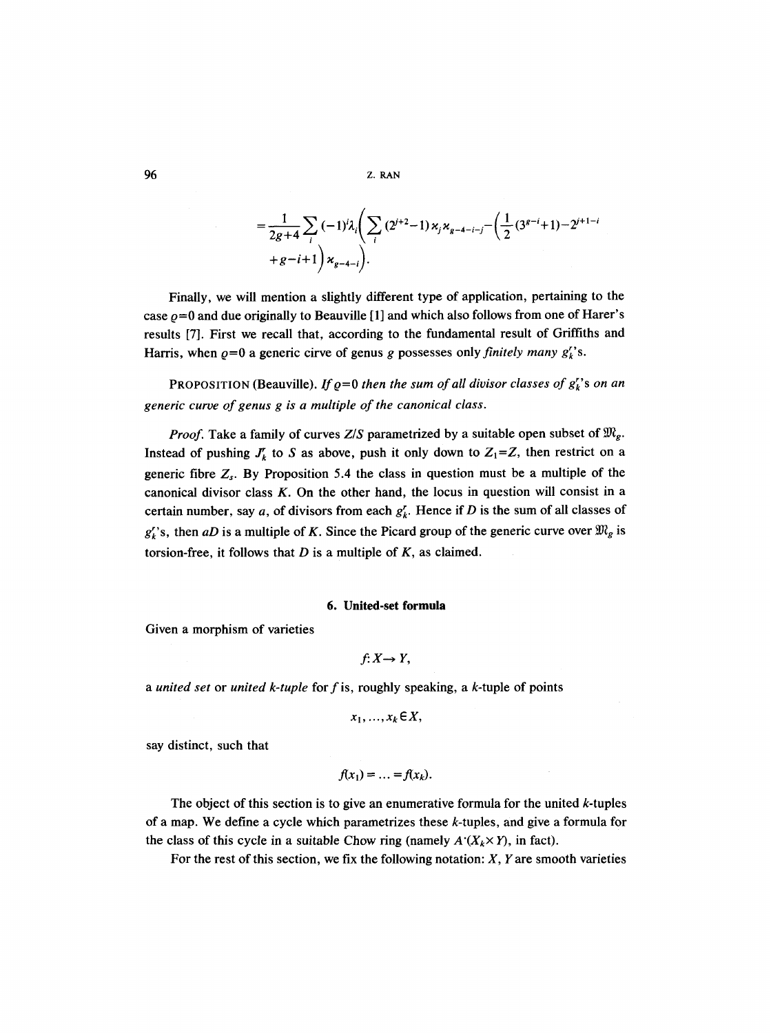$$
=\frac{1}{2g+4}\sum_{i}(-1)^{i}\lambda_{i}\left(\sum_{i}(2^{i+2}-1)\kappa_{i}\kappa_{g-4-i-j}-\left(\frac{1}{2}(3^{g-i}+1)-2^{i+1-i}+g-i+1\right)\kappa_{g-4-i}\right).
$$

Finally, we will mention a slightly different type of application, pertaining to the case  $\rho$ =0 and due originally to Beauville [1] and which also follows from one of Harer's results [7]. First we recall that, according to the fundamental result of Griffiths and Harris, when  $\rho=0$  a generic cirve of genus g possesses only *finitely many*  $g_k^r$ 's.

**PROPOSITION (Beauville).** If  $\varrho=0$  then the sum of all divisor classes of  $g_k^r$ 's on an *generic curve of genus g is a multiple of the canonical class.* 

*Proof.* Take a family of curves *Z/S* parametrized by a suitable open subset of  $\mathfrak{M}_{g}$ . Instead of pushing  $J_k^r$  to S as above, push it only down to  $Z_1=Z$ , then restrict on a generic fibre  $Z_s$ . By Proposition 5.4 the class in question must be a multiple of the canonical divisor class  $K$ . On the other hand, the locus in question will consist in a certain number, say a, of divisors from each  $g'_{k}$ . Hence if D is the sum of all classes of  $g'_{k}$ 's, then *aD* is a multiple of K. Since the Picard group of the generic curve over  $\mathfrak{M}_{g}$  is torsion-free, it follows that  $D$  is a multiple of  $K$ , as claimed.

# **6. United-set formula**

Given a morphism of varieties

$$
f:X\rightarrow Y,
$$

*a united set* or *united k-tuple* for f is, roughly speaking, a k-tuple of points

$$
x_1, \ldots, x_k \in X,
$$

say distinct, such that

$$
f(x_1)=\ldots=f(x_k).
$$

The object of this section is to give an enumerative formula for the united  $k$ -tuples of a map. We define a cycle which parametrizes these  $k$ -tuples, and give a formula for the class of this cycle in a suitable Chow ring (namely  $A'(X_k \times Y)$ , in fact).

For the rest of this section, we fix the following notation:  $X$ ,  $Y$  are smooth varieties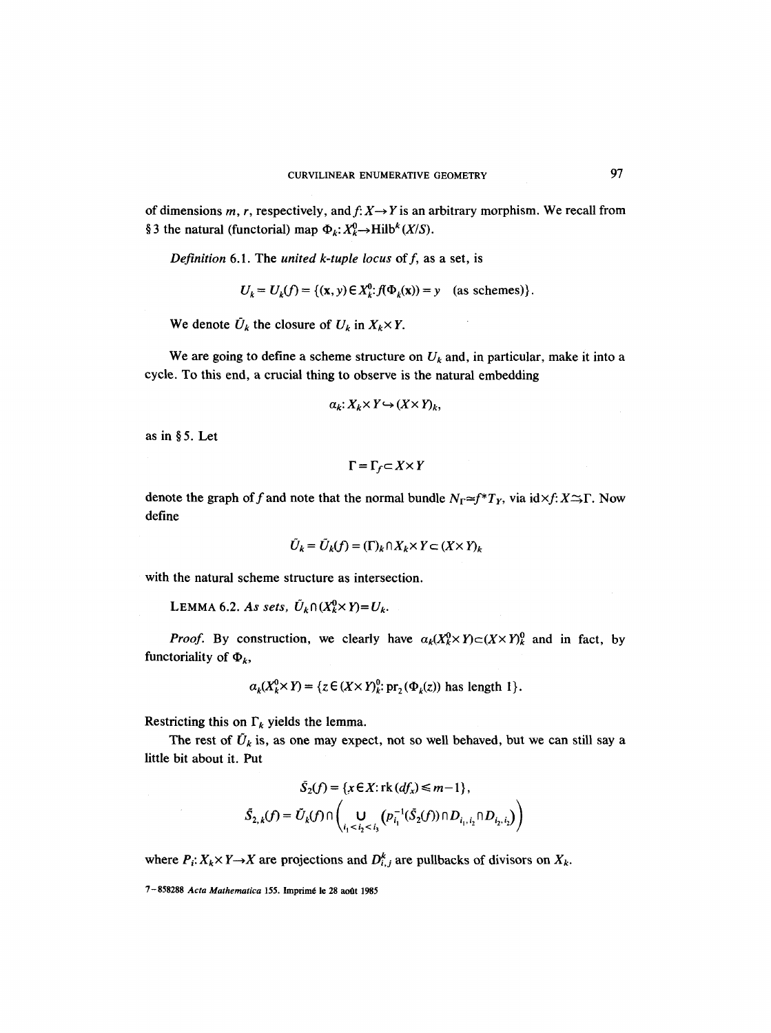of dimensions m, r, respectively, and  $f: X \rightarrow Y$  is an arbitrary morphism. We recall from § 3 the natural (functorial) map  $\Phi_k: X^0_k \to \text{Hilb}^k(X/S)$ .

*Definition* 6.1. The *united k-tuple locus* of f, as a set, is

$$
U_k = U_k(f) = \{(\mathbf{x}, \mathbf{y}) \in X_k^0 : f(\Phi_k(\mathbf{x})) = \mathbf{y} \quad \text{(as schemes)}\}.
$$

We denote  $\bar{U}_k$  the closure of  $U_k$  in  $X_k \times Y$ .

We are going to define a scheme structure on  $U_k$  and, in particular, make it into a cycle. To this end, a crucial thing to observe is the natural embedding

$$
\alpha_k: X_k \times Y \hookrightarrow (X \times Y)_k,
$$

as in  $§ 5$ . Let

 $\sim 10$ 

 $\Gamma = \Gamma_f \subset X \times Y$ 

denote the graph of f and note that the normal bundle  $N_{\Gamma} \simeq f^*T_Y$ , via id  $\times f: X \to \Gamma$ . Now define

$$
\tilde{U}_k = \tilde{U}_k(f) = (\Gamma)_k \cap X_k \times Y \subset (X \times Y)_k
$$

with the natural scheme structure as intersection.

LEMMA 6.2. As sets,  $\tilde{U}_k \cap (X_k^0 \times Y) = U_k$ .

*Proof.* By construction, we clearly have  $a_k(X_k^0 \times Y) \subset (X \times Y)^0$  and in fact, by functoriality of  $\Phi_k$ ,

$$
a_k(X_k^0 \times Y) = \{ z \in (X \times Y)_k^0 \colon \text{pr}_2(\Phi_k(z)) \text{ has length } 1 \}.
$$

Restricting this on  $\Gamma_k$  yields the lemma.

The rest of  $\tilde{U}_k$  is, as one may expect, not so well behaved, but we can still say a little bit about it. Put

$$
\tilde{S}_2(f) = \{x \in X : \text{rk } (df_x) \le m-1\},\
$$

$$
\tilde{S}_{2,k}(f) = \tilde{U}_k(f) \cap \left( \bigcup_{i_1 < i_2 < i_3} (p_{i_1}^{-1}(\tilde{S}_2(f)) \cap D_{i_1, i_2} \cap D_{i_2, i_2}) \right)
$$

where  $P_i: X_k \times Y \to X$  are projections and  $D_{i,j}^k$  are pullbacks of divisors on  $X_k$ .

<sup>7-858288</sup> Acta Mathematica 155. Imprimé le 28 août 1985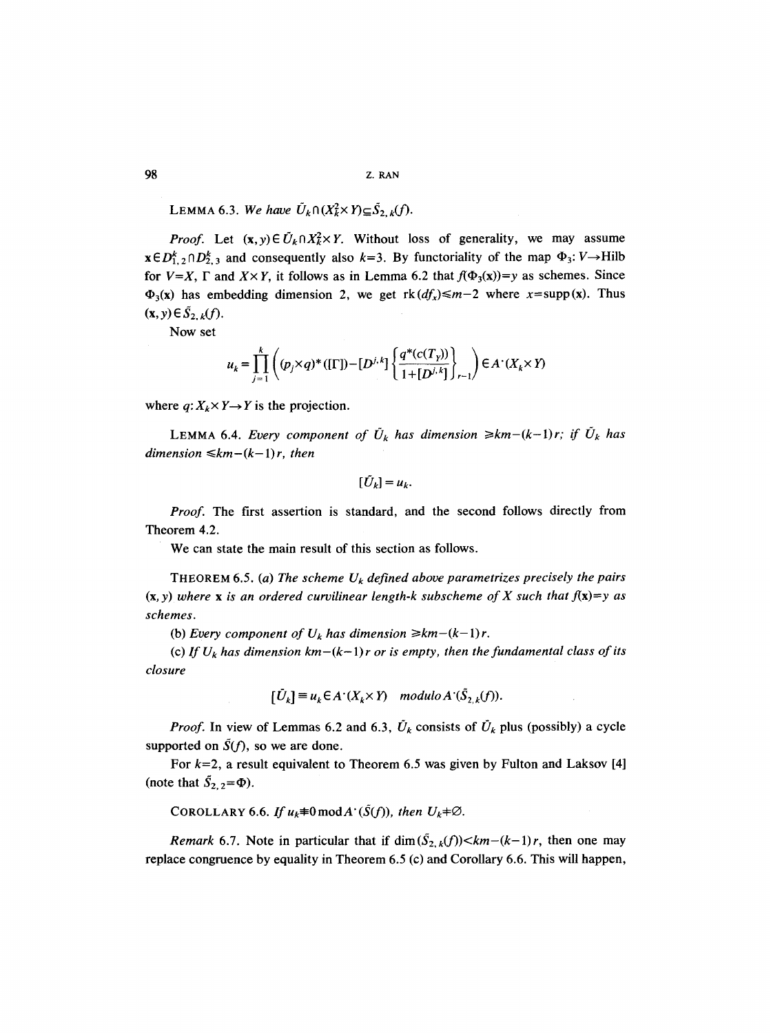LEMMA 6.3. We have  $\tilde{U}_k \cap (X_k^2 \times Y) \subseteq \tilde{S}_{2,k}(f)$ .

*Proof.* Let  $(x, y) \in U_k \cap X_k^2 \times Y$ . Without loss of generality, we may assume  $x \in D_{1,2}^{k} \cap D_{2,3}^{k}$  and consequently also  $k=3$ . By functoriality of the map  $\Phi_3: V \rightarrow$  Hilb for  $V=X$ ,  $\Gamma$  and  $X\times Y$ , it follows as in Lemma 6.2 that  $f(\Phi_3(x))=y$  as schemes. Since  $\Phi_3(x)$  has embedding dimension 2, we get  $rk(df_x) \leq m-2$  where  $x = supp(x)$ . Thus  $(\mathbf{x}, y) \in \tilde{S}_{2, k}(f).$ 

NOW set

$$
u_{k} = \prod_{j=1}^{k} \left( (p_{j} \times q)^{*} ([\Gamma]) - [D^{j,k}] \left\{ \frac{q^{*}(c(T_{Y}))}{1 + [D^{j,k}]} \right\}_{r-1} \right) \in A^{*}(X_{k} \times Y)
$$

where  $q: X_k \times Y \rightarrow Y$  is the projection.

**LEMMA 6.4.** *Every component of*  $\tilde{U}_k$  *has dimension*  $\geq k m - (k-1)r$ ; *if*  $\tilde{U}_k$  *has dimension*  $\leq km-(k-1)r$ , then

$$
[\tilde{U}_k] = u_k.
$$

*Proof.* The first assertion is standard, and the second follows directly from Theorem 4.2.

We can state the main result of this section as follows.

**THEOREM 6.5.** (a) The scheme  $U_k$  defined above parametrizes precisely the pairs  $(x, y)$  where x is an ordered curvilinear length-k subscheme of X such that  $f(x)=y$  as *schemes.* 

(b) *Every component of*  $U_k$  *has dimension*  $\geq k m - (k-1)r$ .

(c) If  $U_k$  has dimension  $km-(k-1)r$  or is empty, then the fundamental class of its *closure* 

$$
[\tilde{U}_k] \equiv u_k \in A^*(X_k \times Y) \quad modulo \, A^*(\tilde{S}_{2,k}(f)).
$$

*Proof.* In view of Lemmas 6.2 and 6.3,  $\tilde{U}_k$  consists of  $\tilde{U}_k$  plus (possibly) a cycle supported on  $\tilde{S}(f)$ , so we are done.

For  $k=2$ , a result equivalent to Theorem 6.5 was given by Fulton and Laksov [4] (note that  $\tilde{S}_{2,2} = \Phi$ ).

COROLLARY 6.6. If  $u_k \neq 0 \mod A$ <sup> $\cdot$ </sup> ( $\tilde{S}(f)$ ), then  $U_k \neq \emptyset$ .

*Remark* 6.7. Note in particular that if  $\dim(\tilde{S}_{2,k}(f)) < km-(k-1)r$ , then one may replace congruence by equality in Theorem 6.5 (c) and Corollary 6.6. This will happen,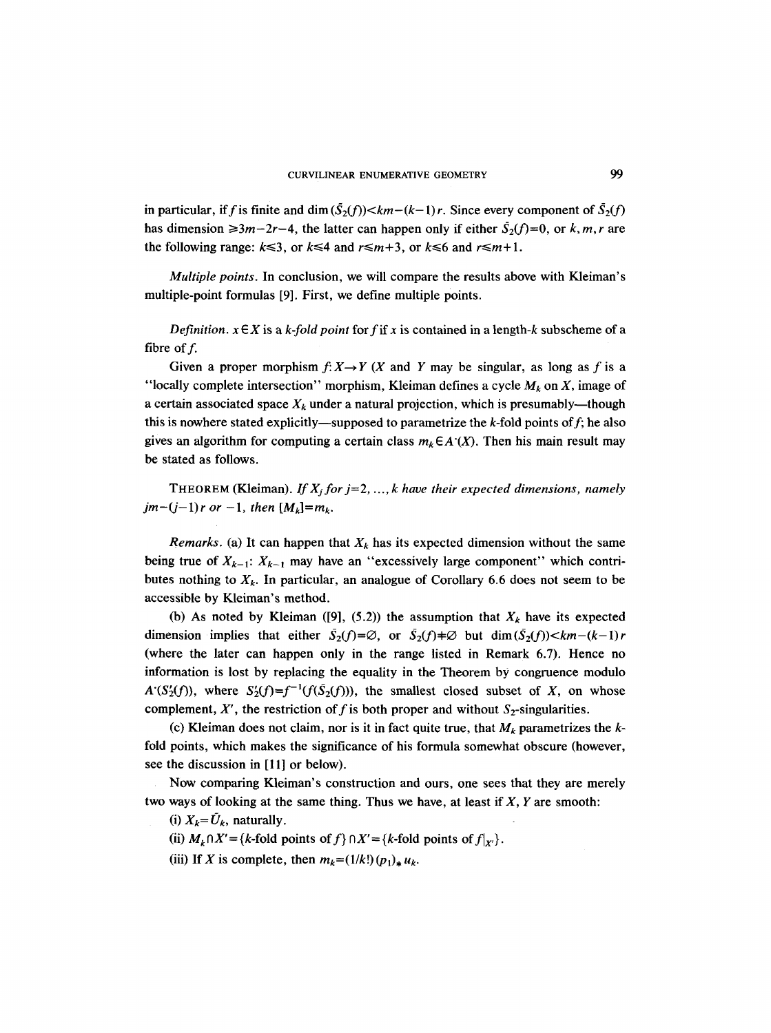in particular, if f is finite and dim  $(\bar{S}_2(f)) < km - (k-1)r$ . Since every component of  $\bar{S}_2(f)$ has dimension  $\geq 3m-2r-4$ , the latter can happen only if either  $\bar{S}_2(f)=0$ , or k, m, r are the following range:  $k \le 3$ , or  $k \le 4$  and  $r \le m+3$ , or  $k \le 6$  and  $r \le m+1$ .

*Multiple points.* In conclusion, we will compare the results above with Kleiman's multiple-point formulas [9]. First, we define multiple points.

*Definition.*  $x \in X$  is a *k-fold point* for f if x is contained in a length-k subscheme of a fibre of  $f$ .

Given a proper morphism  $f: X \rightarrow Y$  (X and Y may be singular, as long as f is a "locally complete intersection" morphism, Kleiman defines a cycle  $M_k$  on X, image of a certain associated space  $X_k$  under a natural projection, which is presumably—though this is nowhere stated explicitly—supposed to parametrize the  $k$ -fold points of  $f$ ; he also gives an algorithm for computing a certain class  $m_k \in A'(X)$ . Then his main result may be stated as follows.

THEOREM (Kleiman). *If X<sub>i</sub> for j*=2, ..., *k* have their expected dimensions, namely *jm* $-(j-1)r$  *or*  $-1$ *, then*  $[M_k]=m_k$ .

*Remarks.* (a) It can happen that  $X_k$  has its expected dimension without the same being true of  $X_{k-1}$ :  $X_{k-1}$  may have an "excessively large component" which contributes nothing to  $X_k$ . In particular, an analogue of Corollary 6.6 does not seem to be accessible by Kleiman's method.

(b) As noted by Kleiman ([9], (5.2)) the assumption that  $X_k$  have its expected dimension implies that either  $S_2(f)=\emptyset$ , or  $S_2(f)=\emptyset$  but  $\dim(S_2(f))$ (where the later can happen only in the range listed in Remark 6.7). Hence no information is lost by replacing the equality in the Theorem by congruence modulo  $A'(S_2'(f))$ , where  $S_2'(f)=f^{-1}(f(\bar{S}_2(f)))$ , the smallest closed subset of X, on whose complement, X', the restriction of f is both proper and without  $S_2$ -singularities.

(c) Kleiman does not claim, nor is it in fact quite true, that  $M_k$  parametrizes the  $k$ fold points, which makes the significance of his formula somewhat obscure (however, see the discussion in [11] or below).

Now comparing Kleiman's construction and ours, one sees that they are merely two ways of looking at the same thing. Thus we have, at least if  $X$ ,  $Y$  are smooth:

(i)  $X_k = U_k$ , naturally.

(ii)  $M_k \cap X' = \{k\text{-fold points of } f\} \cap X' = \{k\text{-fold points of } f|_{X'}\}.$ 

(iii) If X is complete, then  $m_k = (1/k!) (p_1)_* u_k$ .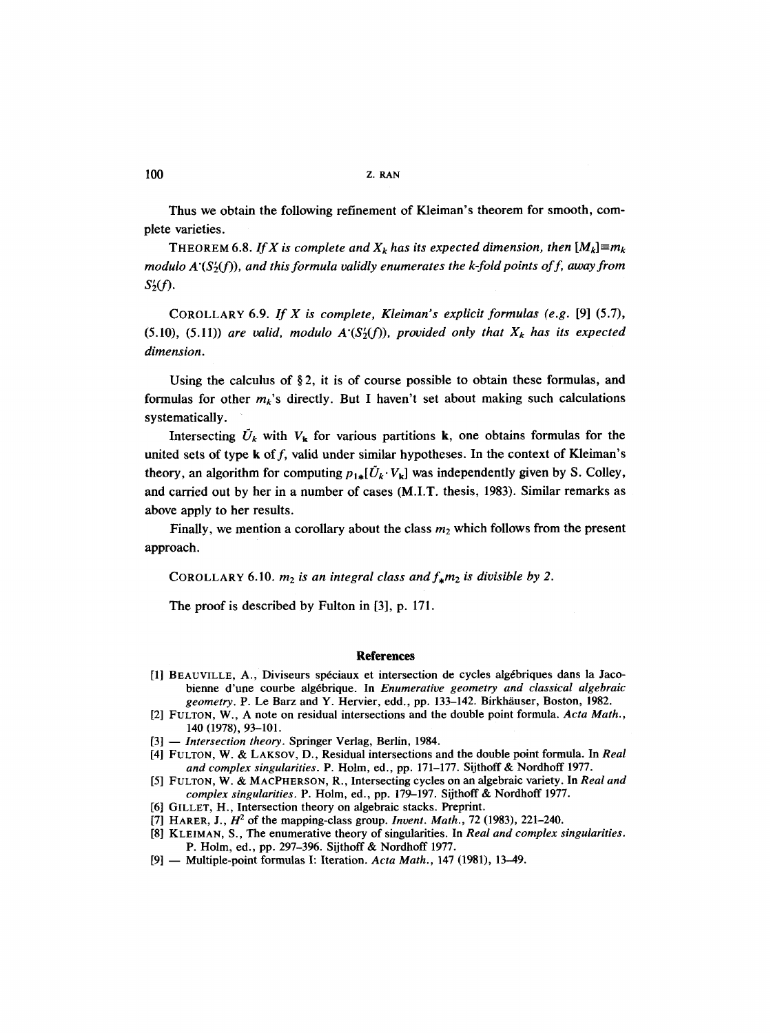100 z. RAN

Thus we obtain the following refinement of Kleiman's theorem for smooth, complete varieties.

THEOREM 6.8. *If X is complete and*  $X_k$  has its expected dimension, then  $[M_k] \equiv m_k$ *modulo A'(S'<sub>2</sub>(f)), and this formula validly enumerates the k-fold points of f, away from s~(/).* 

COROLLARY 6.9. *If X is complete, Kleiman's explicit formulas (e.g.* [9] (5.7),  $(5.10)$ ,  $(5.11)$ ) are valid, modulo  $A'(S_2'(f))$ , provided only that  $X_k$  has its expected *dimension.* 

Using the calculus of  $\S$ 2, it is of course possible to obtain these formulas, and formulas for other  $m_k$ 's directly. But I haven't set about making such calculations systematically.

Intersecting  $\tilde{U}_k$  with  $V_k$  for various partitions k, one obtains formulas for the united sets of type  $k$  of  $f$ , valid under similar hypotheses. In the context of Kleiman's theory, an algorithm for computing  $p_{1*}[\tilde{U}_k \cdot V_k]$  was independently given by S. Colley, and carried out by her in a number of cases (M.I.T. thesis, 1983). Similar remarks as above apply to her results.

Finally, we mention a corollary about the class  $m_2$  which follows from the present approach.

COROLLARY 6.10.  $m_2$  *is an integral class and*  $f_*m_2$  *is divisible by 2.* 

The proof is described by Fulton in [3], p. 171.

#### **References**

- [1] BEAUVILLE, A., Diviseurs spéciaux et intersection de cycles algébriques dans la Jacobienne d'une courbe alg6brique. In *Enumerative geometry and classical algebraic geometry.* P. Le Barz and Y. Hervier, edd., pp. 133–142. Birkhäuser, Boston, 1982.
- [2] FULTON, W., A note on residual intersections and the double point formula. *Acta Math.,*  140 (1978), 93-101.
- [3] -- *Intersection theory.* Springer Verlag, Berlin, 1984.
- [4] FULTON, W. & LAKSOV, D., Residual intersections and the double point formula. In *Real and complex singularities.* P. Holm, ed., pp. 171-177. Sijthoff & Nordhoff 1977.
- [5] FULTON, W. & MACPHERSON, R., Intersecting cycles on an algebraic variety. In *Real and complex singularities.* P. Holm, ed., pp. 179-197. Sijthoff & Nordhoff 1977.
- [6] GILLET, H., Intersection theory on algebraic stacks. Preprint.
- [7] HARER, J.,  $H^2$  of the mapping-class group. *Invent. Math.*, 72 (1983), 221-240.
- [8] KLEIMAN, S., The enumerative theory of singularities. In *Real and complex singularities.*  P. Holm, ed., pp. 297-396. Sijthoff & Nordhoff 1977.
- [9] -- Multiple-point formulas I: Iteration. *Acta Math.,* 147 (1981), 13-49.